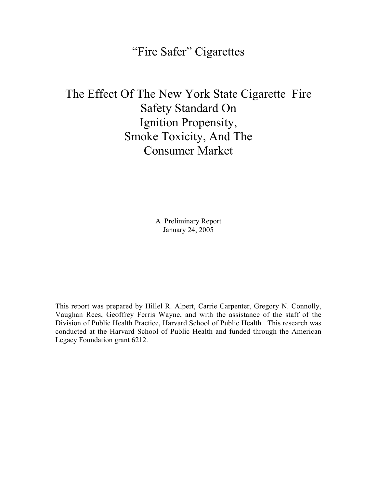# "Fire Safer" Cigarettes

# The Effect Of The New York State Cigarette Fire Safety Standard On Ignition Propensity, Smoke Toxicity, And The Consumer Market

A Preliminary Report January 24, 2005

This report was prepared by Hillel R. Alpert, Carrie Carpenter, Gregory N. Connolly, Vaughan Rees, Geoffrey Ferris Wayne, and with the assistance of the staff of the Division of Public Health Practice, Harvard School of Public Health. This research was conducted at the Harvard School of Public Health and funded through the American Legacy Foundation grant 6212.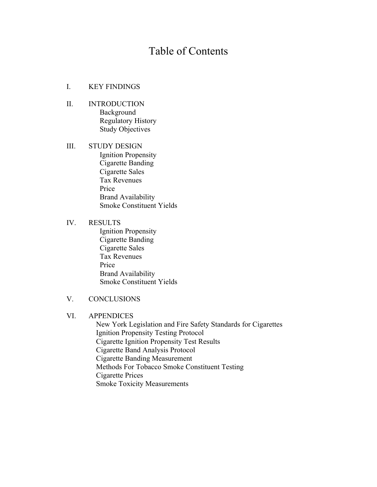# Table of Contents

#### I. KEY FINDINGS

- II. INTRODUCTION Background Regulatory History Study Objectives
- III. STUDY DESIGN Ignition Propensity Cigarette Banding Cigarette Sales Tax Revenues Price Brand Availability Smoke Constituent Yields

#### IV. RESULTS

 Ignition Propensity Cigarette Banding Cigarette Sales Tax Revenues Price Brand Availability Smoke Constituent Yields

# V. CONCLUSIONS

## VI. APPENDICES

 New York Legislation and Fire Safety Standards for Cigarettes Ignition Propensity Testing Protocol Cigarette Ignition Propensity Test Results Cigarette Band Analysis Protocol Cigarette Banding Measurement Methods For Tobacco Smoke Constituent Testing Cigarette Prices Smoke Toxicity Measurements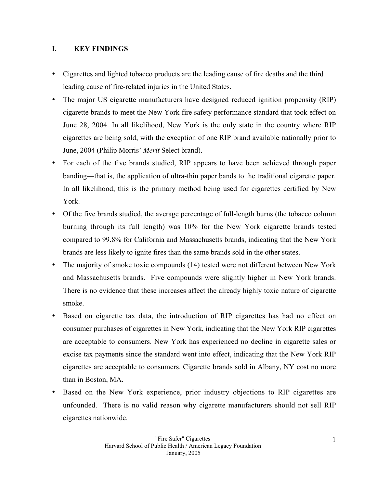## **I. KEY FINDINGS**

Cigarettes and lighted tobacco products are the leading cause of fire deaths and the third leading cause of fire-related injuries in the United States.

The major US cigarette manufacturers have designed reduced ignition propensity (RIP) cigarette brands to meet the New York fire safety performance standard that took effect on June 28, 2004. In all likelihood, New York is the only state in the country where RIP cigarettes are being sold, with the exception of one RIP brand available nationally prior to June, 2004 (Philip Morris' *Merit* Select brand).

For each of the five brands studied, RIP appears to have been achieved through paper banding—that is, the application of ultra-thin paper bands to the traditional cigarette paper. In all likelihood, this is the primary method being used for cigarettes certified by New York.

Of the five brands studied, the average percentage of full-length burns (the tobacco column burning through its full length) was 10% for the New York cigarette brands tested compared to 99.8% for California and Massachusetts brands, indicating that the New York brands are less likely to ignite fires than the same brands sold in the other states.

The majority of smoke toxic compounds (14) tested were not different between New York and Massachusetts brands. Five compounds were slightly higher in New York brands. There is no evidence that these increases affect the already highly toxic nature of cigarette smoke.

Based on cigarette tax data, the introduction of RIP cigarettes has had no effect on consumer purchases of cigarettes in New York, indicating that the New York RIP cigarettes are acceptable to consumers. New York has experienced no decline in cigarette sales or excise tax payments since the standard went into effect, indicating that the New York RIP cigarettes are acceptable to consumers. Cigarette brands sold in Albany, NY cost no more than in Boston, MA.

Based on the New York experience, prior industry objections to RIP cigarettes are unfounded. There is no valid reason why cigarette manufacturers should not sell RIP cigarettes nationwide.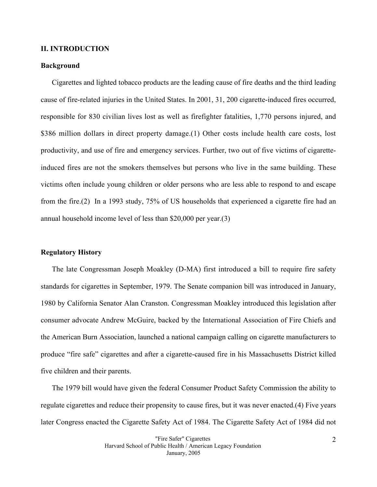#### **II. INTRODUCTION**

#### **Background**

Cigarettes and lighted tobacco products are the leading cause of fire deaths and the third leading cause of fire-related injuries in the United States. In 2001, 31, 200 cigarette-induced fires occurred, responsible for 830 civilian lives lost as well as firefighter fatalities, 1,770 persons injured, and \$386 million dollars in direct property damage. (1) Other costs include health care costs, lost productivity, and use of fire and emergency services. Further, two out of five victims of cigaretteinduced fires are not the smokers themselves but persons who live in the same building. These victims often include young children or older persons who are less able to respond to and escape from the fire.(2) In a 1993 study, 75% of US households that experienced a cigarette fire had an annual household income level of less than \$20,000 per year.(3)

#### **Regulatory History**

The late Congressman Joseph Moakley (D-MA) first introduced a bill to require fire safety standards for cigarettes in September, 1979. The Senate companion bill was introduced in January, 1980 by California Senator Alan Cranston. Congressman Moakley introduced this legislation after consumer advocate Andrew McGuire, backed by the International Association of Fire Chiefs and the American Burn Association, launched a national campaign calling on cigarette manufacturers to produce "fire safe" cigarettes and after a cigarette-caused fire in his Massachusetts District killed five children and their parents.

The 1979 bill would have given the federal Consumer Product Safety Commission the ability to regulate cigarettes and reduce their propensity to cause fires, but it was never enacted.(4) Five years later Congress enacted the Cigarette Safety Act of 1984. The Cigarette Safety Act of 1984 did not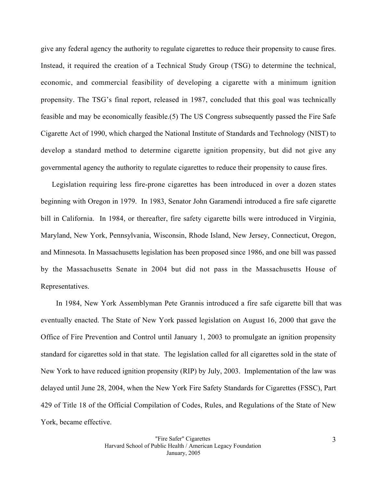give any federal agency the authority to regulate cigarettes to reduce their propensity to cause fires. Instead, it required the creation of a Technical Study Group (TSG) to determine the technical, economic, and commercial feasibility of developing a cigarette with a minimum ignition propensity. The TSG's final report, released in 1987, concluded that this goal was technically feasible and may be economically feasible.(5) The US Congress subsequently passed the Fire Safe Cigarette Act of 1990, which charged the National Institute of Standards and Technology (NIST) to develop a standard method to determine cigarette ignition propensity, but did not give any governmental agency the authority to regulate cigarettes to reduce their propensity to cause fires.

Legislation requiring less fire-prone cigarettes has been introduced in over a dozen states beginning with Oregon in 1979. In 1983, Senator John Garamendi introduced a fire safe cigarette bill in California. In 1984, or thereafter, fire safety cigarette bills were introduced in Virginia, Maryland, New York, Pennsylvania, Wisconsin, Rhode Island, New Jersey, Connecticut, Oregon, and Minnesota. In Massachusetts legislation has been proposed since 1986, and one bill was passed by the Massachusetts Senate in 2004 but did not pass in the Massachusetts House of Representatives.

 In 1984, New York Assemblyman Pete Grannis introduced a fire safe cigarette bill that was eventually enacted. The State of New York passed legislation on August 16, 2000 that gave the Office of Fire Prevention and Control until January 1, 2003 to promulgate an ignition propensity standard for cigarettes sold in that state. The legislation called for all cigarettes sold in the state of New York to have reduced ignition propensity (RIP) by July, 2003. Implementation of the law was delayed until June 28, 2004, when the New York Fire Safety Standards for Cigarettes (FSSC), Part 429 of Title 18 of the Official Compilation of Codes, Rules, and Regulations of the State of New York, became effective.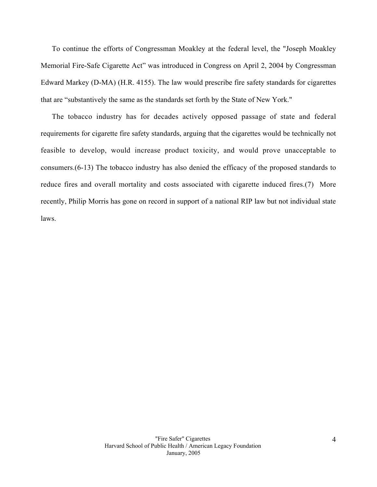To continue the efforts of Congressman Moakley at the federal level, the "Joseph Moakley Memorial Fire-Safe Cigarette Act" was introduced in Congress on April 2, 2004 by Congressman Edward Markey (D-MA) (H.R. 4155). The law would prescribe fire safety standards for cigarettes that are "substantively the same as the standards set forth by the State of New York."

The tobacco industry has for decades actively opposed passage of state and federal requirements for cigarette fire safety standards, arguing that the cigarettes would be technically not feasible to develop, would increase product toxicity, and would prove unacceptable to consumers.(6-13) The tobacco industry has also denied the efficacy of the proposed standards to reduce fires and overall mortality and costs associated with cigarette induced fires.(7) More recently, Philip Morris has gone on record in support of a national RIP law but not individual state laws.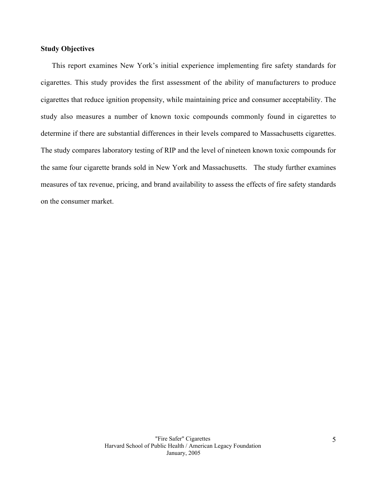## **Study Objectives**

This report examines New York's initial experience implementing fire safety standards for cigarettes. This study provides the first assessment of the ability of manufacturers to produce cigarettes that reduce ignition propensity, while maintaining price and consumer acceptability. The study also measures a number of known toxic compounds commonly found in cigarettes to determine if there are substantial differences in their levels compared to Massachusetts cigarettes. The study compares laboratory testing of RIP and the level of nineteen known toxic compounds for the same four cigarette brands sold in New York and Massachusetts. The study further examines measures of tax revenue, pricing, and brand availability to assess the effects of fire safety standards on the consumer market.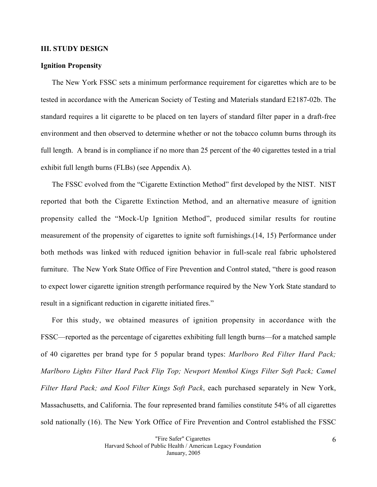#### **III. STUDY DESIGN**

#### **Ignition Propensity**

The New York FSSC sets a minimum performance requirement for cigarettes which are to be tested in accordance with the American Society of Testing and Materials standard E2187-02b. The standard requires a lit cigarette to be placed on ten layers of standard filter paper in a draft-free environment and then observed to determine whether or not the tobacco column burns through its full length. A brand is in compliance if no more than 25 percent of the 40 cigarettes tested in a trial exhibit full length burns (FLBs) (see Appendix A).

The FSSC evolved from the "Cigarette Extinction Method" first developed by the NIST. NIST reported that both the Cigarette Extinction Method, and an alternative measure of ignition propensity called the "Mock-Up Ignition Method", produced similar results for routine measurement of the propensity of cigarettes to ignite soft furnishings.(14, 15) Performance under both methods was linked with reduced ignition behavior in full-scale real fabric upholstered furniture. The New York State Office of Fire Prevention and Control stated, "there is good reason to expect lower cigarette ignition strength performance required by the New York State standard to result in a significant reduction in cigarette initiated fires."

For this study, we obtained measures of ignition propensity in accordance with the FSSC—reported as the percentage of cigarettes exhibiting full length burns—for a matched sample of 40 cigarettes per brand type for 5 popular brand types: *Marlboro Red Filter Hard Pack; Marlboro Lights Filter Hard Pack Flip Top; Newport Menthol Kings Filter Soft Pack; Camel Filter Hard Pack; and Kool Filter Kings Soft Pack*, each purchased separately in New York, Massachusetts, and California. The four represented brand families constitute 54% of all cigarettes sold nationally (16). The New York Office of Fire Prevention and Control established the FSSC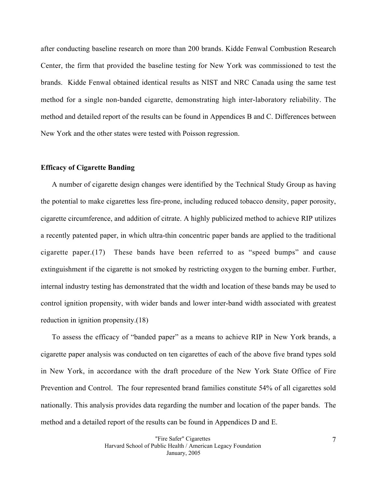after conducting baseline research on more than 200 brands. Kidde Fenwal Combustion Research Center, the firm that provided the baseline testing for New York was commissioned to test the brands. Kidde Fenwal obtained identical results as NIST and NRC Canada using the same test method for a single non-banded cigarette, demonstrating high inter-laboratory reliability. The method and detailed report of the results can be found in Appendices B and C. Differences between New York and the other states were tested with Poisson regression.

#### **Efficacy of Cigarette Banding**

A number of cigarette design changes were identified by the Technical Study Group as having the potential to make cigarettes less fire-prone, including reduced tobacco density, paper porosity, cigarette circumference, and addition of citrate. A highly publicized method to achieve RIP utilizes a recently patented paper, in which ultra-thin concentric paper bands are applied to the traditional cigarette paper.(17) These bands have been referred to as "speed bumps" and cause extinguishment if the cigarette is not smoked by restricting oxygen to the burning ember. Further, internal industry testing has demonstrated that the width and location of these bands may be used to control ignition propensity, with wider bands and lower inter-band width associated with greatest reduction in ignition propensity.(18)

To assess the efficacy of "banded paper" as a means to achieve RIP in New York brands, a cigarette paper analysis was conducted on ten cigarettes of each of the above five brand types sold in New York, in accordance with the draft procedure of the New York State Office of Fire Prevention and Control. The four represented brand families constitute 54% of all cigarettes sold nationally. This analysis provides data regarding the number and location of the paper bands. The method and a detailed report of the results can be found in Appendices D and E.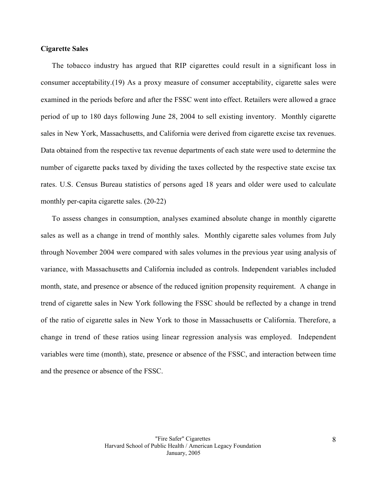## **Cigarette Sales**

The tobacco industry has argued that RIP cigarettes could result in a significant loss in consumer acceptability.(19) As a proxy measure of consumer acceptability, cigarette sales were examined in the periods before and after the FSSC went into effect. Retailers were allowed a grace period of up to 180 days following June 28, 2004 to sell existing inventory. Monthly cigarette sales in New York, Massachusetts, and California were derived from cigarette excise tax revenues. Data obtained from the respective tax revenue departments of each state were used to determine the number of cigarette packs taxed by dividing the taxes collected by the respective state excise tax rates. U.S. Census Bureau statistics of persons aged 18 years and older were used to calculate monthly per-capita cigarette sales. (20-22)

To assess changes in consumption, analyses examined absolute change in monthly cigarette sales as well as a change in trend of monthly sales. Monthly cigarette sales volumes from July through November 2004 were compared with sales volumes in the previous year using analysis of variance, with Massachusetts and California included as controls. Independent variables included month, state, and presence or absence of the reduced ignition propensity requirement. A change in trend of cigarette sales in New York following the FSSC should be reflected by a change in trend of the ratio of cigarette sales in New York to those in Massachusetts or California. Therefore, a change in trend of these ratios using linear regression analysis was employed. Independent variables were time (month), state, presence or absence of the FSSC, and interaction between time and the presence or absence of the FSSC.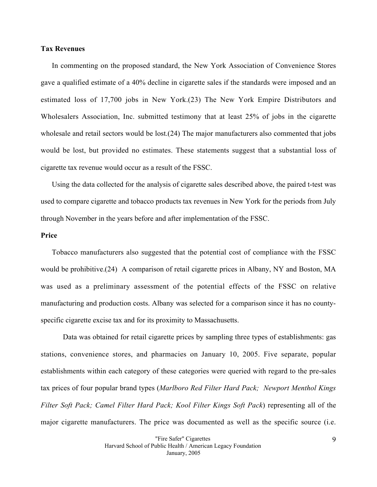## **Tax Revenues**

In commenting on the proposed standard, the New York Association of Convenience Stores gave a qualified estimate of a 40% decline in cigarette sales if the standards were imposed and an estimated loss of 17,700 jobs in New York.(23) The New York Empire Distributors and Wholesalers Association, Inc. submitted testimony that at least 25% of jobs in the cigarette wholesale and retail sectors would be lost.(24) The major manufacturers also commented that jobs would be lost, but provided no estimates. These statements suggest that a substantial loss of cigarette tax revenue would occur as a result of the FSSC.

Using the data collected for the analysis of cigarette sales described above, the paired t-test was used to compare cigarette and tobacco products tax revenues in New York for the periods from July through November in the years before and after implementation of the FSSC.

#### **Price**

Tobacco manufacturers also suggested that the potential cost of compliance with the FSSC would be prohibitive.(24) A comparison of retail cigarette prices in Albany, NY and Boston, MA was used as a preliminary assessment of the potential effects of the FSSC on relative manufacturing and production costs. Albany was selected for a comparison since it has no countyspecific cigarette excise tax and for its proximity to Massachusetts.

Data was obtained for retail cigarette prices by sampling three types of establishments: gas stations, convenience stores, and pharmacies on January 10, 2005. Five separate, popular establishments within each category of these categories were queried with regard to the pre-sales tax prices of four popular brand types (*Marlboro Red Filter Hard Pack; Newport Menthol Kings Filter Soft Pack; Camel Filter Hard Pack; Kool Filter Kings Soft Pack*) representing all of the major cigarette manufacturers. The price was documented as well as the specific source (i.e.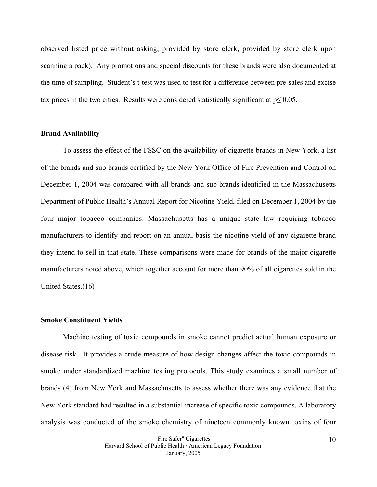observed listed price without asking, provided by store clerk, provided by store clerk upon scanning a pack). Any promotions and special discounts for these brands were also documented at the time of sampling. Student's t-test was used to test for a difference between pre-sales and excise tax prices in the two cities. Results were considered statistically significant at  $p \le 0.05$ .

#### **Brand Availability**

To assess the effect of the FSSC on the availability of cigarette brands in New York, a list of the brands and sub brands certified by the New York Office of Fire Prevention and Control on December 1, 2004 was compared with all brands and sub brands identified in the Massachusetts Department of Public Health's Annual Report for Nicotine Yield, filed on December 1, 2004 by the four major tobacco companies. Massachusetts has a unique state law requiring tobacco manufacturers to identify and report on an annual basis the nicotine yield of any cigarette brand they intend to sell in that state. These comparisons were made for brands of the major cigarette manufacturers noted above, which together account for more than 90% of all cigarettes sold in the United States.(16)

#### **Smoke Constituent Yields**

Machine testing of toxic compounds in smoke cannot predict actual human exposure or disease risk. It provides a crude measure of how design changes affect the toxic compounds in smoke under standardized machine testing protocols. This study examines a small number of brands (4) from New York and Massachusetts to assess whether there was any evidence that the New York standard had resulted in a substantial increase of specific toxic compounds. A laboratory analysis was conducted of the smoke chemistry of nineteen commonly known toxins of four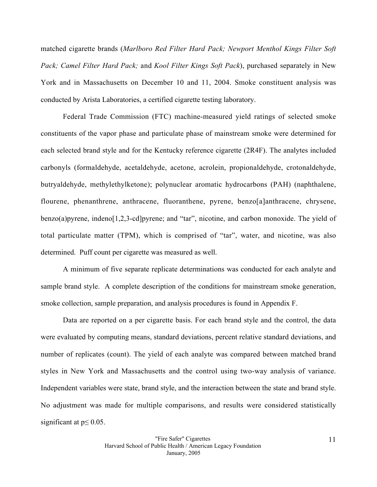matched cigarette brands (*Marlboro Red Filter Hard Pack; Newport Menthol Kings Filter Soft Pack; Camel Filter Hard Pack;* and *Kool Filter Kings Soft Pack*), purchased separately in New York and in Massachusetts on December 10 and 11, 2004. Smoke constituent analysis was conducted by Arista Laboratories, a certified cigarette testing laboratory.

Federal Trade Commission (FTC) machine-measured yield ratings of selected smoke constituents of the vapor phase and particulate phase of mainstream smoke were determined for each selected brand style and for the Kentucky reference cigarette (2R4F). The analytes included carbonyls (formaldehyde, acetaldehyde, acetone, acrolein, propionaldehyde, crotonaldehyde, butryaldehyde, methylethylketone); polynuclear aromatic hydrocarbons (PAH) (naphthalene, flourene, phenanthrene, anthracene, fluoranthene, pyrene, benzo[a]anthracene, chrysene, benzo(a)pyrene, indeno[1,2,3-cd]pyrene; and "tar", nicotine, and carbon monoxide. The yield of total particulate matter (TPM), which is comprised of "tar", water, and nicotine, was also determined. Puff count per cigarette was measured as well.

A minimum of five separate replicate determinations was conducted for each analyte and sample brand style. A complete description of the conditions for mainstream smoke generation, smoke collection, sample preparation, and analysis procedures is found in Appendix F.

Data are reported on a per cigarette basis. For each brand style and the control, the data were evaluated by computing means, standard deviations, percent relative standard deviations, and number of replicates (count). The yield of each analyte was compared between matched brand styles in New York and Massachusetts and the control using two-way analysis of variance. Independent variables were state, brand style, and the interaction between the state and brand style. No adjustment was made for multiple comparisons, and results were considered statistically significant at  $p \leq 0.05$ .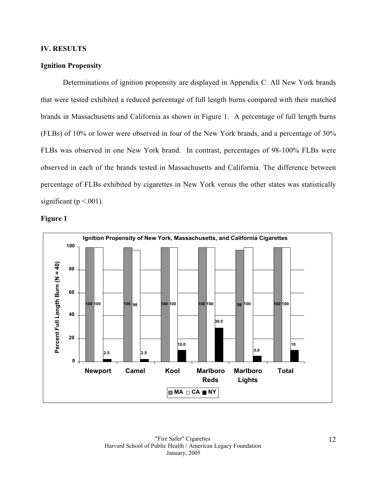## **IV. RESULTS**

## **Ignition Propensity**

Determinations of ignition propensity are displayed in Appendix C. All New York brands that were tested exhibited a reduced percentage of full length burns compared with their matched brands in Massachusetts and California as shown in Figure 1. A percentage of full length burns (FLBs) of 10% or lower were observed in four of the New York brands, and a percentage of 30% FLBs was observed in one New York brand. In contrast, percentages of 98-100% FLBs were observed in each of the brands tested in Massachusetts and California. The difference between percentage of FLBs exhibited by cigarettes in New York versus the other states was statistically significant ( $p < .001$ ).



**Figure 1**

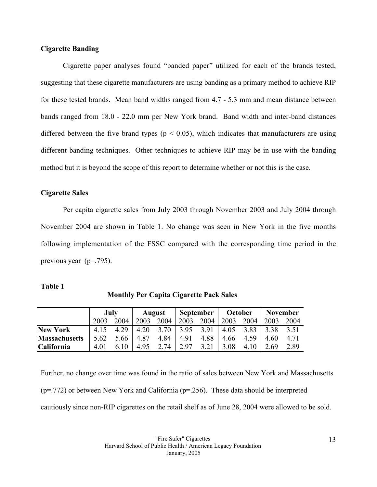## **Cigarette Banding**

Cigarette paper analyses found "banded paper" utilized for each of the brands tested, suggesting that these cigarette manufacturers are using banding as a primary method to achieve RIP for these tested brands. Mean band widths ranged from 4.7 - 5.3 mm and mean distance between bands ranged from 18.0 - 22.0 mm per New York brand. Band width and inter-band distances differed between the five brand types ( $p < 0.05$ ), which indicates that manufacturers are using different banding techniques. Other techniques to achieve RIP may be in use with the banding method but it is beyond the scope of this report to determine whether or not this is the case.

#### **Cigarette Sales**

Per capita cigarette sales from July 2003 through November 2003 and July 2004 through November 2004 are shown in Table 1. No change was seen in New York in the five months following implementation of the FSSC compared with the corresponding time period in the previous year (p=.795).

#### **Table 1**

|                      | July  |      | <b>August</b> |      | September |      | October |      | <b>November</b> |       |
|----------------------|-------|------|---------------|------|-----------|------|---------|------|-----------------|-------|
|                      | 2003  | 2004 | 2003          | 2004 | 2003      | 2004 | 2003    | 2004 | 2003            | 2004  |
| <b>New York</b>      | 4 1 5 | 4 29 | 4.20          | 3.70 | 3.95      | 3.91 | 4.05    | 3.83 | 3.38            | 3.51  |
| <b>Massachusetts</b> | 5.62  | 5.66 | 4.87          | 4.84 | 4.91      | 4.88 | 4.66    | 4.59 | 4.60            | 4 7 1 |
| California           | 4 0 1 | 6.10 | 4.95          | 2.74 | 2.97      | 3.21 | 3.08    | 4.10 | 2.69            | 2.89  |

**Monthly Per Capita Cigarette Pack Sales**

Further, no change over time was found in the ratio of sales between New York and Massachusetts (p=.772) or between New York and California (p=.256). These data should be interpreted cautiously since non-RIP cigarettes on the retail shelf as of June 28, 2004 were allowed to be sold.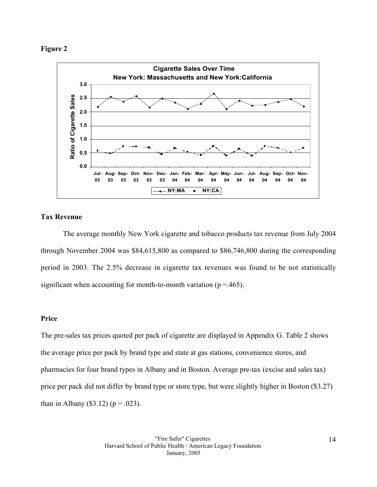#### **Figure 2**



## **Tax Revenue**

The average monthly New York cigarette and tobacco products tax revenue from July 2004 through November 2004 was \$84,615,800 as compared to \$86,746,800 during the corresponding period in 2003. The 2.5% decrease in cigarette tax revenues was found to be not statistically significant when accounting for month-to-month variation ( $p = .465$ ).

## **Price**

The pre-sales tax prices quoted per pack of cigarette are displayed in Appendix G. Table 2 shows the average price per pack by brand type and state at gas stations, convenience stores, and pharmacies for four brand types in Albany and in Boston. Average pre-tax (excise and sales tax) price per pack did not differ by brand type or store type, but were slightly higher in Boston (\$3.27) than in Albany (\$3.12) ( $p = .023$ ).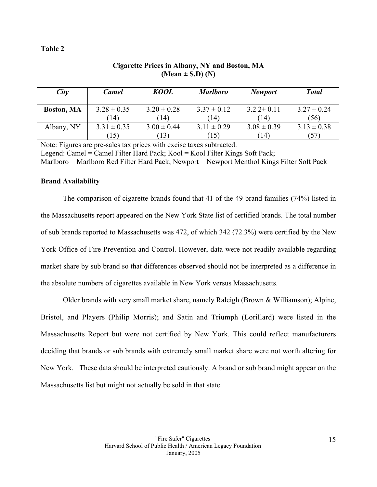## **Table 2**

| City              | <b>Camel</b>    | KOOL            | <b>Marlboro</b> | <b>Newport</b>    | <b>Total</b>    |
|-------------------|-----------------|-----------------|-----------------|-------------------|-----------------|
| <b>Boston, MA</b> | $3.28 \pm 0.35$ | $3.20 \pm 0.28$ | $3.37 \pm 0.12$ | $3.22 \pm 0.11$   | $3.27 \pm 0.24$ |
|                   | (14)            | (14)            | (14)            | (14)              | (56)            |
| Albany, NY        | $3.31 \pm 0.35$ | $3.00 \pm 0.44$ | $3.11 \pm 0.29$ | $3.08 \pm 0.39$   | $3.13 \pm 0.38$ |
|                   | (15)            | (13)            | (15)            | $\left(14\right)$ | (57)            |

# **Cigarette Prices in Albany, NY and Boston, MA (Mean ± S.D) (N)**

Note: Figures are pre-sales tax prices with excise taxes subtracted.

Legend: Camel = Camel Filter Hard Pack; Kool = Kool Filter Kings Soft Pack;  $Marlboro = Marlboro Red Filter Hard Pack; Newport = Newport Menthol Kings Filter Soft Pack$ 

## **Brand Availability**

The comparison of cigarette brands found that 41 of the 49 brand families (74%) listed in the Massachusetts report appeared on the New York State list of certified brands. The total number of sub brands reported to Massachusetts was 472, of which 342 (72.3%) were certified by the New York Office of Fire Prevention and Control. However, data were not readily available regarding market share by sub brand so that differences observed should not be interpreted as a difference in the absolute numbers of cigarettes available in New York versus Massachusetts.

Older brands with very small market share, namely Raleigh (Brown & Williamson); Alpine, Bristol, and Players (Philip Morris); and Satin and Triumph (Lorillard) were listed in the Massachusetts Report but were not certified by New York. This could reflect manufacturers deciding that brands or sub brands with extremely small market share were not worth altering for New York. These data should be interpreted cautiously. A brand or sub brand might appear on the Massachusetts list but might not actually be sold in that state.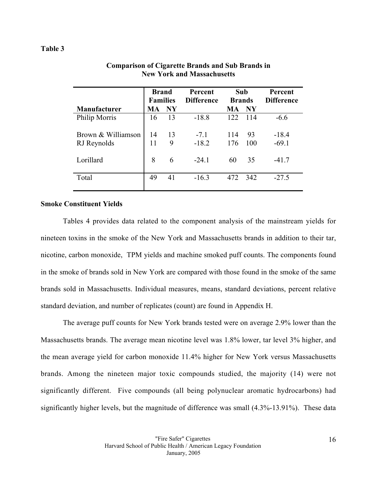## **Table 3**

|                     | <b>Brand</b><br><b>Families</b> |               | Percent<br><b>Difference</b> | Sub<br><b>Brands</b> |               | Percent<br><b>Difference</b> |
|---------------------|---------------------------------|---------------|------------------------------|----------------------|---------------|------------------------------|
| <b>Manufacturer</b> | MA                              | $N\mathbf{Y}$ |                              | МA                   | $N\mathbf{Y}$ |                              |
| Philip Morris       | 16                              | 13            | $-18.8$                      | 122                  | 114           | $-6.6$                       |
| Brown & Williamson  | 14                              | 13            | $-7.1$                       | 114                  | 93            | $-18.4$                      |
| RJ Reynolds         | 11                              | 9             | $-18.2$                      | 176                  | 100           | $-69.1$                      |
| Lorillard           | 8                               | 6             | $-24.1$                      | 60                   | 35            | $-41.7$                      |
| Total               | 49                              | 41            | $-16.3$                      | 472                  | 342           | $-27.5$                      |

## **Comparison of Cigarette Brands and Sub Brands in New York and Massachusetts**

## **Smoke Constituent Yields**

Tables 4 provides data related to the component analysis of the mainstream yields for nineteen toxins in the smoke of the New York and Massachusetts brands in addition to their tar, nicotine, carbon monoxide, TPM yields and machine smoked puff counts. The components found in the smoke of brands sold in New York are compared with those found in the smoke of the same brands sold in Massachusetts. Individual measures, means, standard deviations, percent relative standard deviation, and number of replicates (count) are found in Appendix H.

The average puff counts for New York brands tested were on average 2.9% lower than the Massachusetts brands. The average mean nicotine level was 1.8% lower, tar level 3% higher, and the mean average yield for carbon monoxide 11.4% higher for New York versus Massachusetts brands. Among the nineteen major toxic compounds studied, the majority (14) were not significantly different. Five compounds (all being polynuclear aromatic hydrocarbons) had significantly higher levels, but the magnitude of difference was small (4.3%-13.91%). These data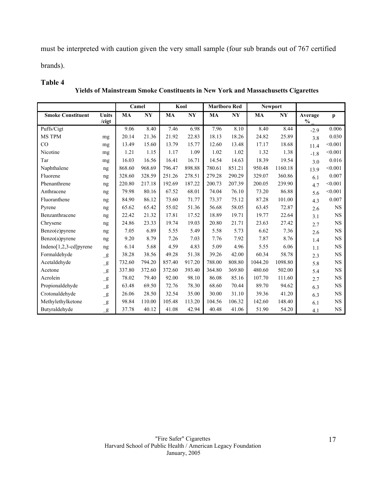must be interpreted with caution given the very small sample (four sub brands out of 767 certified

brands).

## **Table 4**

 **Yields of Mainstream Smoke Constituents in New York and Massachusetts Cigarettes**

|                             |                          |           | Camel          |           | Kool           |           | <b>Marlboro Red</b>    |           | <b>Newport</b> |                 |           |
|-----------------------------|--------------------------|-----------|----------------|-----------|----------------|-----------|------------------------|-----------|----------------|-----------------|-----------|
| <b>Smoke Constituent</b>    | <b>Units</b><br>/cigt    | <b>MA</b> | N <sub>Y</sub> | <b>MA</b> | N <sub>Y</sub> | <b>MA</b> | $\mathbf{N}\mathbf{Y}$ | <b>MA</b> | N <sub>Y</sub> | Average<br>$\%$ | p         |
| Puffs/Cigt                  |                          | 9.06      | 8.40           | 7.46      | 6.98           | 7.96      | 8.10                   | 8.40      | 8.44           | $-2.9$          | 0.006     |
| <b>MS TPM</b>               | mg                       | 20.14     | 21.36          | 21.92     | 22.83          | 18.13     | 18.26                  | 24.82     | 25.89          | 3.8             | 0.030     |
| CO                          | mg                       | 13.49     | 15.60          | 13.79     | 15.77          | 12.60     | 13.48                  | 17.17     | 18.68          | 11.4            | < 0.001   |
| Nicotine                    | mg                       | 1.21      | 1.15           | 1.17      | 1.09           | 1.02      | 1.02                   | 1.32      | 1.38           | $-1.8$          | < 0.001   |
| Tar                         | mg                       | 16.03     | 16.56          | 16.41     | 16.71          | 14.54     | 14.63                  | 18.39     | 19.54          | 3.0             | 0.016     |
| Naphthalene                 | ng                       | 868.60    | 968.69         | 796.47    | 898.88         | 780.61    | 851.21                 | 950.48    | 1160.18        | 13.9            | < 0.001   |
| Fluorene                    | ng                       | 328.60    | 328.59         | 251.26    | 278.51         | 279.28    | 290.29                 | 329.07    | 360.86         | 6.1             | 0.007     |
| Phenanthrene                | ng                       | 220.80    | 217.18         | 192.69    | 187.22         | 200.73    | 207.39                 | 200.05    | 239.90         | 4.7             | < 0.001   |
| Anthracene                  | ng                       | 79.98     | 80.16          | 67.52     | 68.01          | 74.04     | 76.10                  | 73.20     | 86.88          | 5.6             | < 0.001   |
| Fluoranthene                | ng                       | 84.90     | 86.12          | 73.60     | 71.77          | 73.37     | 75.12                  | 87.28     | 101.00         | 4.3             | 0.007     |
| Pyrene                      | ng                       | 65.62     | 65.42          | 55.02     | 51.36          | 56.68     | 58.05                  | 63.45     | 72.87          | 2.6             | <b>NS</b> |
| Benzanthracene              | ng                       | 22.42     | 21.32          | 17.81     | 17.52          | 18.89     | 19.71                  | 19.77     | 22.64          | 3.1             | NS        |
| Chrysene                    | ng                       | 24.86     | 23.33          | 19.74     | 19.03          | 20.80     | 21.71                  | 23.63     | 27.42          | 2.7             | <b>NS</b> |
| Benzo(e)pyrene              | ng                       | 7.05      | 6.89           | 5.55      | 5.49           | 5.58      | 5.73                   | 6.62      | 7.36           | 2.6             | NS        |
| $Benzo(a)$ pyrene           | ng                       | 9.20      | 8.79           | 7.26      | 7.03           | 7.76      | 7.92                   | 7.87      | 8.76           | 1.4             | NS        |
| Indeno[ $1,2,3$ -cd] pyrene | ng                       | 6.14      | 5.68           | 4.59      | 4.83           | 5.09      | 4.96                   | 5.55      | 6.06           | 1.1             | <b>NS</b> |
| Formaldehyde                | $\mathbf{g}$             | 38.28     | 38.56          | 49.28     | 51.38          | 39.26     | 42.00                  | 60.34     | 58.78          | 2.3             | NS        |
| Acetaldehyde                | $\mathbf{g}$             | 732.60    | 794.20         | 857.40    | 917.20         | 788.00    | 808.80                 | 1044.20   | 1098.80        | 5.8             | NS        |
| Acetone                     | $\mathbf{g}$             | 337.80    | 372.60         | 372.60    | 393.40         | 364.80    | 369.80                 | 480.60    | 502.00         | 5.4             | <b>NS</b> |
| Acrolein                    | $\mathbf{g}$             | 78.02     | 79.40          | 92.00     | 98.10          | 86.08     | 85.16                  | 107.70    | 111.60         | 2.7             | NS        |
| Propionaldehyde             | $\overline{\mathbf{g}}$  | 63.48     | 69.50          | 72.76     | 78.30          | 68.60     | 70.44                  | 89.70     | 94.62          | 6.3             | NS        |
| Crotonaldehyde              | $\overline{\mathbf{g}}$  | 26.06     | 28.50          | 32.54     | 35.00          | 30.00     | 31.10                  | 39.36     | 41.20          | 6.3             | <b>NS</b> |
| Methylethylketone           | $\mathbf{g}$             | 98.84     | 110.00         | 105.48    | 113.20         | 104.56    | 106.32                 | 142.60    | 148.40         | 6.1             | NS        |
| Butyraldehyde               | $\overline{\mathcal{L}}$ | 37.78     | 40.12          | 41.08     | 42.94          | 40.48     | 41.06                  | 51.90     | 54.20          | 4.1             | <b>NS</b> |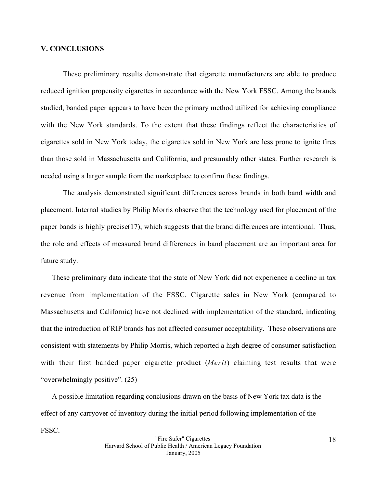#### **V. CONCLUSIONS**

These preliminary results demonstrate that cigarette manufacturers are able to produce reduced ignition propensity cigarettes in accordance with the New York FSSC. Among the brands studied, banded paper appears to have been the primary method utilized for achieving compliance with the New York standards. To the extent that these findings reflect the characteristics of cigarettes sold in New York today, the cigarettes sold in New York are less prone to ignite fires than those sold in Massachusetts and California, and presumably other states. Further research is needed using a larger sample from the marketplace to confirm these findings.

The analysis demonstrated significant differences across brands in both band width and placement. Internal studies by Philip Morris observe that the technology used for placement of the paper bands is highly precise(17), which suggests that the brand differences are intentional. Thus, the role and effects of measured brand differences in band placement are an important area for future study.

These preliminary data indicate that the state of New York did not experience a decline in tax revenue from implementation of the FSSC. Cigarette sales in New York (compared to Massachusetts and California) have not declined with implementation of the standard, indicating that the introduction of RIP brands has not affected consumer acceptability. These observations are consistent with statements by Philip Morris, which reported a high degree of consumer satisfaction with their first banded paper cigarette product (*Merit*) claiming test results that were "overwhelmingly positive". (25)

A possible limitation regarding conclusions drawn on the basis of New York tax data is the effect of any carryover of inventory during the initial period following implementation of the FSSC.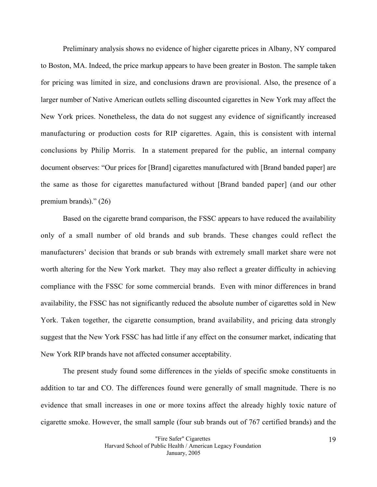Preliminary analysis shows no evidence of higher cigarette prices in Albany, NY compared to Boston, MA. Indeed, the price markup appears to have been greater in Boston. The sample taken for pricing was limited in size, and conclusions drawn are provisional. Also, the presence of a larger number of Native American outlets selling discounted cigarettes in New York may affect the New York prices. Nonetheless, the data do not suggest any evidence of significantly increased manufacturing or production costs for RIP cigarettes. Again, this is consistent with internal conclusions by Philip Morris. In a statement prepared for the public, an internal company document observes: "Our prices for [Brand] cigarettes manufactured with [Brand banded paper] are the same as those for cigarettes manufactured without [Brand banded paper] (and our other premium brands)." (26)

Based on the cigarette brand comparison, the FSSC appears to have reduced the availability only of a small number of old brands and sub brands. These changes could reflect the manufacturers' decision that brands or sub brands with extremely small market share were not worth altering for the New York market. They may also reflect a greater difficulty in achieving compliance with the FSSC for some commercial brands. Even with minor differences in brand availability, the FSSC has not significantly reduced the absolute number of cigarettes sold in New York. Taken together, the cigarette consumption, brand availability, and pricing data strongly suggest that the New York FSSC has had little if any effect on the consumer market, indicating that New York RIP brands have not affected consumer acceptability.

The present study found some differences in the yields of specific smoke constituents in addition to tar and CO. The differences found were generally of small magnitude. There is no evidence that small increases in one or more toxins affect the already highly toxic nature of cigarette smoke. However, the small sample (four sub brands out of 767 certified brands) and the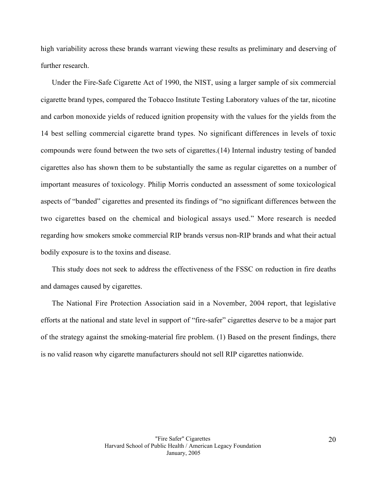high variability across these brands warrant viewing these results as preliminary and deserving of further research.

Under the Fire-Safe Cigarette Act of 1990, the NIST, using a larger sample of six commercial cigarette brand types, compared the Tobacco Institute Testing Laboratory values of the tar, nicotine and carbon monoxide yields of reduced ignition propensity with the values for the yields from the 14 best selling commercial cigarette brand types. No significant differences in levels of toxic compounds were found between the two sets of cigarettes.(14) Internal industry testing of banded cigarettes also has shown them to be substantially the same as regular cigarettes on a number of important measures of toxicology. Philip Morris conducted an assessment of some toxicological aspects of "banded" cigarettes and presented its findings of "no significant differences between the two cigarettes based on the chemical and biological assays used." More research is needed regarding how smokers smoke commercial RIP brands versus non-RIP brands and what their actual bodily exposure is to the toxins and disease.

This study does not seek to address the effectiveness of the FSSC on reduction in fire deaths and damages caused by cigarettes.

The National Fire Protection Association said in a November, 2004 report, that legislative efforts at the national and state level in support of "fire-safer" cigarettes deserve to be a major part of the strategy against the smoking-material fire problem. (1) Based on the present findings, there is no valid reason why cigarette manufacturers should not sell RIP cigarettes nationwide.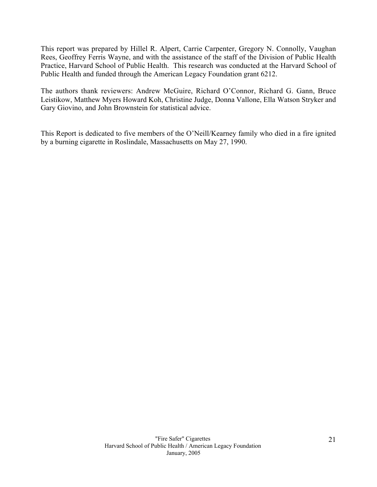This report was prepared by Hillel R. Alpert, Carrie Carpenter, Gregory N. Connolly, Vaughan Rees, Geoffrey Ferris Wayne, and with the assistance of the staff of the Division of Public Health Practice, Harvard School of Public Health. This research was conducted at the Harvard School of Public Health and funded through the American Legacy Foundation grant 6212.

The authors thank reviewers: Andrew McGuire, Richard O'Connor, Richard G. Gann, Bruce Leistikow, Matthew Myers Howard Koh, Christine Judge, Donna Vallone, Ella Watson Stryker and Gary Giovino, and John Brownstein for statistical advice.

This Report is dedicated to five members of the O'Neill/Kearney family who died in a fire ignited by a burning cigarette in Roslindale, Massachusetts on May 27, 1990.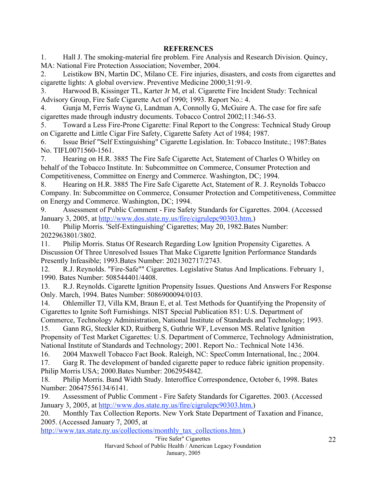1. Hall J. The smoking-material fire problem. Fire Analysis and Research Division. Quincy, MA: National Fire Protection Association; November, 2004.

2. Leistikow BN, Martin DC, Milano CE. Fire injuries, disasters, and costs from cigarettes and cigarette lights: A global overview. Preventive Medicine 2000;31:91-9.

3. Harwood B, Kissinger TL, Karter Jr M, et al. Cigarette Fire Incident Study: Technical Advisory Group, Fire Safe Cigarette Act of 1990; 1993. Report No.: 4.

4. Gunja M, Ferris Wayne G, Landman A, Connolly G, McGuire A. The case for fire safe cigarettes made through industry documents. Tobacco Control 2002;11:346-53.

5. Toward a Less Fire-Prone Cigarette: Final Report to the Congress: Technical Study Group on Cigarette and Little Cigar Fire Safety, Cigarette Safety Act of 1984; 1987.

6. Issue Brief "Self Extinguishing" Cigarette Legislation. In: Tobacco Institute.; 1987:Bates No. TIFL0071560-1561.

7. Hearing on H.R. 3885 The Fire Safe Cigarette Act, Statement of Charles O Whitley on behalf of the Tobacco Institute. In: Subcommittee on Commerce, Consumer Protection and Competitiveness, Committee on Energy and Commerce. Washington, DC; 1994.

8. Hearing on H.R. 3885 The Fire Safe Cigarette Act, Statement of R. J. Reynolds Tobacco Company. In: Subcommittee on Commerce, Consumer Protection and Competitiveness, Committee on Energy and Commerce. Washington, DC; 1994.

9. Assessment of Public Comment - Fire Safety Standards for Cigarettes. 2004. (Accessed January 3, 2005, at http://www.dos.state.ny.us/fire/cigrulepc90303.htm.)

10. Philip Morris. 'Self-Extinguishing' Cigarettes; May 20, 1982.Bates Number: 2022963801/3802.

11. Philip Morris. Status Of Research Regarding Low Ignition Propensity Cigarettes. A Discussion Of Three Unresolved Issues That Make Cigarette Ignition Performance Standards Presently Infeasible; 1993.Bates Number: 2021302717/2743.

12. R.J. Reynolds. "Fire-Safe"" Cigarettes. Legislative Status And Implications. February 1, 1990. Bates Number: 508544401/4408.

13. R.J. Reynolds. Cigarette Ignition Propensity Issues. Questions And Answers For Response Only. March, 1994. Bates Number: 5086900094/0103.

14. Ohlemiller TJ, Villa KM, Braun E, et al. Test Methods for Quantifying the Propensity of Cigarettes to Ignite Soft Furnishings. NIST Special Publication 851: U.S. Department of Commerce, Technology Administration, National Institute of Standards and Technology; 1993.

15. Gann RG, Steckler KD, Ruitberg S, Guthrie WF, Levenson MS. Relative Ignition Propensity of Test Market Cigarettes: U.S. Department of Commerce, Technology Administration, National Institute of Standards and Technology; 2001. Report No.: Technical Note 1436.

16. 2004 Maxwell Tobacco Fact Book. Raleigh, NC: SpecComm International, Inc.; 2004.

17. Garg R. The development of banded cigarette paper to reduce fabric ignition propensity. Philip Morris USA; 2000.Bates Number: 2062954842.

18. Philip Morris. Band Width Study. Interoffice Correspondence, October 6, 1998. Bates Number: 20647556134/6141.

19. Assessment of Public Comment - Fire Safety Standards for Cigarettes. 2003. (Accessed January 3, 2005, at http://www.dos.state.ny.us/fire/cigrulepc90303.htm.)

20. Monthly Tax Collection Reports. New York State Department of Taxation and Finance, 2005. (Accessed January 7, 2005, at

http://www.tax.state.ny.us/collections/monthly\_tax\_collections.htm.)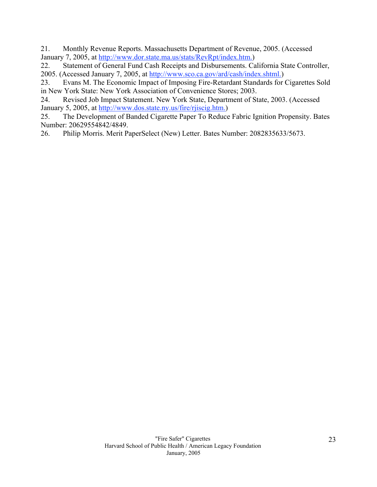21. Monthly Revenue Reports. Massachusetts Department of Revenue, 2005. (Accessed January 7, 2005, at http://www.dor.state.ma.us/stats/RevRpt/index.htm.)

22. Statement of General Fund Cash Receipts and Disbursements. California State Controller, 2005. (Accessed January 7, 2005, at http://www.sco.ca.gov/ard/cash/index.shtml.)

23. Evans M. The Economic Impact of Imposing Fire-Retardant Standards for Cigarettes Sold in New York State: New York Association of Convenience Stores; 2003.

24. Revised Job Impact Statement. New York State, Department of State, 2003. (Accessed January 5, 2005, at http://www.dos.state.ny.us/fire/rjiscig.htm.)

25. The Development of Banded Cigarette Paper To Reduce Fabric Ignition Propensity. Bates Number: 20629554842/4849.

26. Philip Morris. Merit PaperSelect (New) Letter. Bates Number: 2082835633/5673.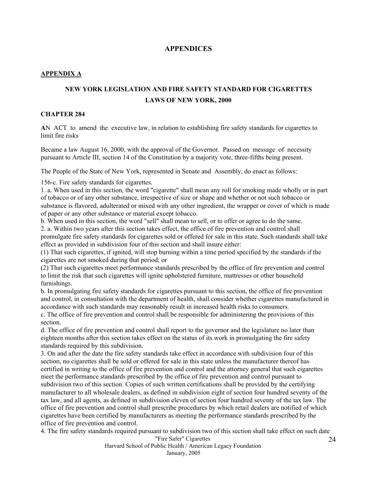## **APPENDICES**

#### **APPENDIX A**

# **NEW YORK LEGISLATION AND FIRE SAFETY STANDARD FOR CIGARETTES LAWS OF NEW YORK, 2000**

#### **CHAPTER 284**

**A**N ACT to amend the executive law, in relation to establishing fire safety standards for cigarettes to limit fire risks

Became a law August 16, 2000, with the approval of the Governor. Passed on message of necessity pursuant to Article III, section 14 of the Constitution by a majority vote, three-fifths being present.

The People of the State of New York, represented in Senate and Assembly, do enact as follows:

156-c. Fire safety standards for cigarettes.

1. a. When used in this section, the word "cigarette" shall mean any roll for smoking made wholly or in part of tobacco or of any other substance, irrespective of size or shape and whether or not such tobacco or substance is flavored, adulterated or mixed with any other ingredient, the wrapper or cover of which is made of paper or any other substance or material except tobacco.

b. When used in this section, the word "sell" shall mean to sell, or to offer or agree to do the same. 2. a. Within two years after this section takes effect, the office of fire prevention and control shall promulgate fire safety standards for cigarettes sold or offered for sale in this state. Such standards shall take effect as provided in subdivision four of this section and shall insure either:

(1) That such cigarettes, if ignited, will stop burning within a time period specified by the standards if the cigarettes are not smoked during that period; or

(2) That such cigarettes meet performance standards prescribed by the office of fire prevention and control to limit the risk that such cigarettes will ignite upholstered furniture, mattresses or other household furnishings.

b. In promulgating fire safety standards for cigarettes pursuant to this section, the office of fire prevention and control, in consultation with the department of health, shall consider whether cigarettes manufactured in accordance with such standards may reasonably result in increased health risks to consumers.

c. The office of fire prevention and control shall be responsible for administering the provisions of this section.

d. The office of fire prevention and control shall report to the governor and the legislature no later than eighteen months after this section takes effect on the status of its work in promulgating the fire safety standards required by this subdivision.

3. On and after the date the fire safety standards take effect in accordance with subdivision four of this section, no cigarettes shall be sold or offered for sale in this state unless the manufacturer thereof has certified in writing to the office of fire prevention and control and the attorney general that such cigarettes meet the performance standards prescribed by the office of fire prevention and control pursuant to subdivision two of this section. Copies of such written certifications shall be provided by the certifying manufacturer to all wholesale dealers, as defined in subdivision eight of section four hundred seventy of the tax law, and all agents, as defined in subdivision eleven of section four hundred seventy of the tax law. The office of fire prevention and control shall prescribe procedures by which retail dealers are notified of which cigarettes have been certified by manufacturers as meeting the performance standards prescribed by the office of fire prevention and control.

"Fire Safer" Cigarettes 4. The fire safety standards required pursuant to subdivision two of this section shall take effect on such date

Harvard School of Public Health / American Legacy Foundation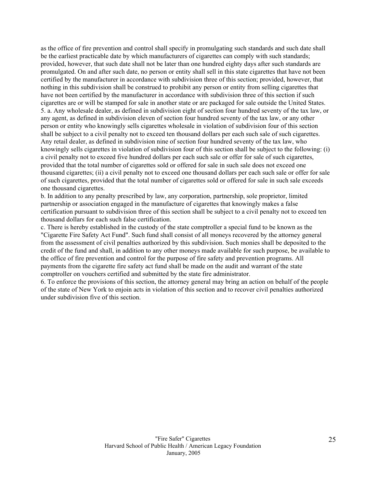as the office of fire prevention and control shall specify in promulgating such standards and such date shall be the earliest practicable date by which manufacturers of cigarettes can comply with such standards; provided, however, that such date shall not be later than one hundred eighty days after such standards are promulgated. On and after such date, no person or entity shall sell in this state cigarettes that have not been certified by the manufacturer in accordance with subdivision three of this section; provided, however, that nothing in this subdivision shall be construed to prohibit any person or entity from selling cigarettes that have not been certified by the manufacturer in accordance with subdivision three of this section if such cigarettes are or will be stamped for sale in another state or are packaged for sale outside the United States. 5. a. Any wholesale dealer, as defined in subdivision eight of section four hundred seventy of the tax law, or any agent, as defined in subdivision eleven of section four hundred seventy of the tax law, or any other person or entity who knowingly sells cigarettes wholesale in violation of subdivision four of this section shall be subject to a civil penalty not to exceed ten thousand dollars per each such sale of such cigarettes. Any retail dealer, as defined in subdivision nine of section four hundred seventy of the tax law, who knowingly sells cigarettes in violation of subdivision four of this section shall be subject to the following: (i) a civil penalty not to exceed five hundred dollars per each such sale or offer for sale of such cigarettes, provided that the total number of cigarettes sold or offered for sale in such sale does not exceed one thousand cigarettes; (ii) a civil penalty not to exceed one thousand dollars per each such sale or offer for sale of such cigarettes, provided that the total number of cigarettes sold or offered for sale in such sale exceeds one thousand cigarettes.

b. In addition to any penalty prescribed by law, any corporation, partnership, sole proprietor, limited partnership or association engaged in the manufacture of cigarettes that knowingly makes a false certification pursuant to subdivision three of this section shall be subject to a civil penalty not to exceed ten thousand dollars for each such false certification.

c. There is hereby established in the custody of the state comptroller a special fund to be known as the "Cigarette Fire Safety Act Fund". Such fund shall consist of all moneys recovered by the attorney general from the assessment of civil penalties authorized by this subdivision. Such monies shall be deposited to the credit of the fund and shall, in addition to any other moneys made available for such purpose, be available to the office of fire prevention and control for the purpose of fire safety and prevention programs. All payments from the cigarette fire safety act fund shall be made on the audit and warrant of the state comptroller on vouchers certified and submitted by the state fire administrator.

6. To enforce the provisions of this section, the attorney general may bring an action on behalf of the people of the state of New York to enjoin acts in violation of this section and to recover civil penalties authorized under subdivision five of this section.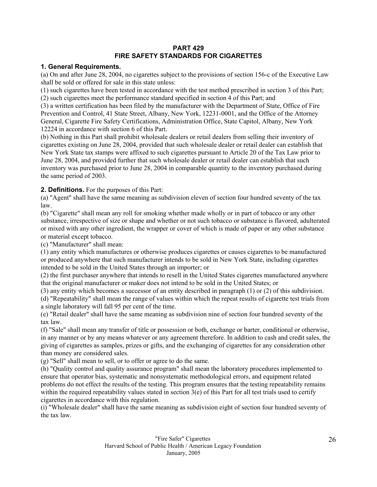## **PART 429 FIRE SAFETY STANDARDS FOR CIGARETTES**

## **1. General Requirements.**

(a) On and after June 28, 2004, no cigarettes subject to the provisions of section 156-c of the Executive Law shall be sold or offered for sale in this state unless:

(1) such cigarettes have been tested in accordance with the test method prescribed in section 3 of this Part; (2) such cigarettes meet the performance standard specified in section 4 of this Part; and

(3) a written certification has been filed by the manufacturer with the Department of State, Office of Fire Prevention and Control, 41 State Street, Albany, New York, 12231-0001, and the Office of the Attorney General, Cigarette Fire Safety Certifications, Administration Office, State Capitol, Albany, New York 12224 in accordance with section 6 of this Part.

(b) Nothing in this Part shall prohibit wholesale dealers or retail dealers from selling their inventory of cigarettes existing on June 28, 2004, provided that such wholesale dealer or retail dealer can establish that New York State tax stamps were affixed to such cigarettes pursuant to Article 20 of the Tax Law prior to June 28, 2004, and provided further that such wholesale dealer or retail dealer can establish that such inventory was purchased prior to June 28, 2004 in comparable quantity to the inventory purchased during the same period of 2003.

## **2. Definitions.** For the purposes of this Part:

(a) "Agent" shall have the same meaning as subdivision eleven of section four hundred seventy of the tax law.

(b) "Cigarette" shall mean any roll for smoking whether made wholly or in part of tobacco or any other substance, irrespective of size or shape and whether or not such tobacco or substance is flavored, adulterated or mixed with any other ingredient, the wrapper or cover of which is made of paper or any other substance or material except tobacco.

(c) "Manufacturer" shall mean:

(1) any entity which manufactures or otherwise produces cigarettes or causes cigarettes to be manufactured or produced anywhere that such manufacturer intends to be sold in New York State, including cigarettes intended to be sold in the United States through an importer; or

(2) the first purchaser anywhere that intends to resell in the United States cigarettes manufactured anywhere that the original manufacturer or maker does not intend to be sold in the United States; or

(3) any entity which becomes a successor of an entity described in paragraph (1) or (2) of this subdivision. (d) "Repeatability" shall mean the range of values within which the repeat results of cigarette test trials from a single laboratory will fall 95 per cent of the time.

(e) "Retail dealer" shall have the same meaning as subdivision nine of section four hundred seventy of the tax law.

(f) "Sale" shall mean any transfer of title or possession or both, exchange or barter, conditional or otherwise, in any manner or by any means whatever or any agreement therefore. In addition to cash and credit sales, the giving of cigarettes as samples, prizes or gifts, and the exchanging of cigarettes for any consideration other than money are considered sales.

(g) "Sell" shall mean to sell, or to offer or agree to do the same.

(h) "Quality control and quality assurance program" shall mean the laboratory procedures implemented to ensure that operator bias, systematic and nonsystematic methodological errors, and equipment related problems do not effect the results of the testing. This program ensures that the testing repeatability remains within the required repeatability values stated in section 3(e) of this Part for all test trials used to certify cigarettes in accordance with this regulation.

(i) "Wholesale dealer" shall have the same meaning as subdivision eight of section four hundred seventy of the tax law.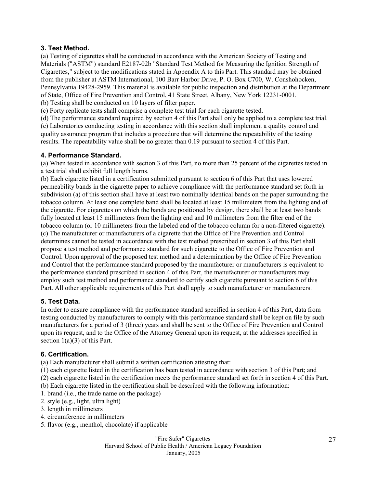## **3. Test Method.**

(a) Testing of cigarettes shall be conducted in accordance with the American Society of Testing and Materials ("ASTM") standard E2187-02b "Standard Test Method for Measuring the Ignition Strength of Cigarettes," subject to the modifications stated in Appendix A to this Part. This standard may be obtained from the publisher at ASTM International, 100 Barr Harbor Drive, P. O. Box C700, W. Conshohocken, Pennsylvania 19428-2959. This material is available for public inspection and distribution at the Department of State, Office of Fire Prevention and Control, 41 State Street, Albany, New York 12231-0001. (b) Testing shall be conducted on 10 layers of filter paper.

(c) Forty replicate tests shall comprise a complete test trial for each cigarette tested.

(d) The performance standard required by section 4 of this Part shall only be applied to a complete test trial. (e) Laboratories conducting testing in accordance with this section shall implement a quality control and quality assurance program that includes a procedure that will determine the repeatability of the testing results. The repeatability value shall be no greater than 0.19 pursuant to section 4 of this Part.

## **4. Performance Standard.**

(a) When tested in accordance with section 3 of this Part, no more than 25 percent of the cigarettes tested in a test trial shall exhibit full length burns.

(b) Each cigarette listed in a certification submitted pursuant to section 6 of this Part that uses lowered permeability bands in the cigarette paper to achieve compliance with the performance standard set forth in subdivision (a) of this section shall have at least two nominally identical bands on the paper surrounding the tobacco column. At least one complete band shall be located at least 15 millimeters from the lighting end of the cigarette. For cigarettes on which the bands are positioned by design, there shall be at least two bands fully located at least 15 millimeters from the lighting end and 10 millimeters from the filter end of the tobacco column (or 10 millimeters from the labeled end of the tobacco column for a non-filtered cigarette). (c) The manufacturer or manufacturers of a cigarette that the Office of Fire Prevention and Control determines cannot be tested in accordance with the test method prescribed in section 3 of this Part shall propose a test method and performance standard for such cigarette to the Office of Fire Prevention and Control. Upon approval of the proposed test method and a determination by the Office of Fire Prevention and Control that the performance standard proposed by the manufacturer or manufacturers is equivalent to the performance standard prescribed in section 4 of this Part, the manufacturer or manufacturers may employ such test method and performance standard to certify such cigarette pursuant to section 6 of this Part. All other applicable requirements of this Part shall apply to such manufacturer or manufacturers.

## **5. Test Data.**

In order to ensure compliance with the performance standard specified in section 4 of this Part, data from testing conducted by manufacturers to comply with this performance standard shall be kept on file by such manufacturers for a period of 3 (three) years and shall be sent to the Office of Fire Prevention and Control upon its request, and to the Office of the Attorney General upon its request, at the addresses specified in section 1(a)(3) of this Part.

# **6. Certification.**

(a) Each manufacturer shall submit a written certification attesting that:

(1) each cigarette listed in the certification has been tested in accordance with section 3 of this Part; and

(2) each cigarette listed in the certification meets the performance standard set forth in section 4 of this Part.

(b) Each cigarette listed in the certification shall be described with the following information:

- 1. brand (i.e., the trade name on the package)
- 2. style (e.g., light, ultra light)
- 3. length in millimeters
- 4. circumference in millimeters
- 5. flavor (e.g., menthol, chocolate) if applicable

"Fire Safer" Cigarettes Harvard School of Public Health / American Legacy Foundation January, 2005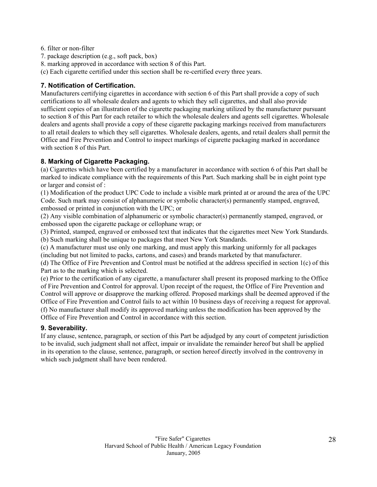- 6. filter or non-filter
- 7. package description (e.g., soft pack, box)
- 8. marking approved in accordance with section 8 of this Part.
- (c) Each cigarette certified under this section shall be re-certified every three years.

## **7. Notification of Certification.**

Manufacturers certifying cigarettes in accordance with section 6 of this Part shall provide a copy of such certifications to all wholesale dealers and agents to which they sell cigarettes, and shall also provide sufficient copies of an illustration of the cigarette packaging marking utilized by the manufacturer pursuant to section 8 of this Part for each retailer to which the wholesale dealers and agents sell cigarettes. Wholesale dealers and agents shall provide a copy of these cigarette packaging markings received from manufacturers to all retail dealers to which they sell cigarettes. Wholesale dealers, agents, and retail dealers shall permit the Office and Fire Prevention and Control to inspect markings of cigarette packaging marked in accordance with section 8 of this Part.

## **8. Marking of Cigarette Packaging.**

(a) Cigarettes which have been certified by a manufacturer in accordance with section 6 of this Part shall be marked to indicate compliance with the requirements of this Part. Such marking shall be in eight point type or larger and consist of :

(1) Modification of the product UPC Code to include a visible mark printed at or around the area of the UPC Code. Such mark may consist of alphanumeric or symbolic character(s) permanently stamped, engraved, embossed or printed in conjunction with the UPC; or

(2) Any visible combination of alphanumeric or symbolic character(s) permanently stamped, engraved, or embossed upon the cigarette package or cellophane wrap; or

(3) Printed, stamped, engraved or embossed text that indicates that the cigarettes meet New York Standards. (b) Such marking shall be unique to packages that meet New York Standards.

(c) A manufacturer must use only one marking, and must apply this marking uniformly for all packages (including but not limited to packs, cartons, and cases) and brands marketed by that manufacturer.

(d) The Office of Fire Prevention and Control must be notified at the address specified in section 1(c) of this Part as to the marking which is selected.

(e) Prior to the certification of any cigarette, a manufacturer shall present its proposed marking to the Office of Fire Prevention and Control for approval. Upon receipt of the request, the Office of Fire Prevention and Control will approve or disapprove the marking offered. Proposed markings shall be deemed approved if the Office of Fire Prevention and Control fails to act within 10 business days of receiving a request for approval. (f) No manufacturer shall modify its approved marking unless the modification has been approved by the Office of Fire Prevention and Control in accordance with this section.

# **9. Severability.**

If any clause, sentence, paragraph, or section of this Part be adjudged by any court of competent jurisdiction to be invalid, such judgment shall not affect, impair or invalidate the remainder hereof but shall be applied in its operation to the clause, sentence, paragraph, or section hereof directly involved in the controversy in which such judgment shall have been rendered.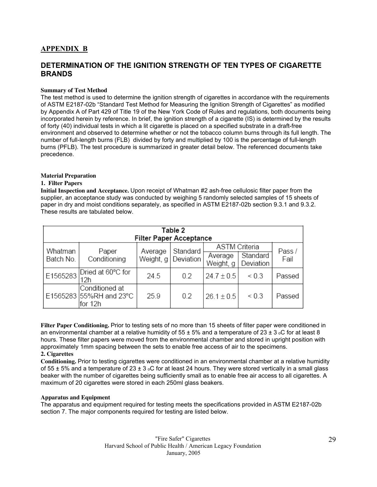# **APPENDIX B**

# **DETERMINATION OF THE IGNITION STRENGTH OF TEN TYPES OF CIGARETTE BRANDS**

#### **Summary of Test Method**

The test method is used to determine the ignition strength of cigarettes in accordance with the requirements of ASTM E2187-02b "Standard Test Method for Measuring the Ignition Strength of Cigarettes" as modified by Appendix A of Part 429 of Title 19 of the New York Code of Rules and regulations, both documents being incorporated herein by reference. In brief, the ignition strength of a cigarette (IS) is determined by the results of forty (40) individual tests in which a lit cigarette is placed on a specified substrate in a draft-free environment and observed to determine whether or not the tobacco column burns through its full length. The number of full-length burns (FLB) divided by forty and multiplied by 100 is the percentage of full-length burns (PFLB). The test procedure is summarized in greater detail below. The referenced documents take precedence.

#### **Material Preparation**

#### **1. Filter Papers**

**Initial Inspection and Acceptance.** Upon receipt of Whatman #2 ash-free cellulosic filter paper from the supplier, an acceptance study was conducted by weighing 5 randomly selected samples of 15 sheets of paper in dry and moist conditions separately, as specified in ASTM E2187-02b section 9.3.1 and 9.3.2. These results are tabulated below.

|           | Table 2<br><b>Filter Paper Acceptance</b>            |           |           |                      |                       |        |  |  |  |  |  |
|-----------|------------------------------------------------------|-----------|-----------|----------------------|-----------------------|--------|--|--|--|--|--|
| Whatman   | Paper                                                | Average   | Standard  | <b>ASTM</b> Criteria |                       | Pass / |  |  |  |  |  |
| Batch No. | Conditioning                                         | Weight, g | Deviation | Average<br>Weight, g | Standard<br>Deviation | Fail   |  |  |  |  |  |
| E1565283  | Dried at 60°C for<br>12h                             | 24.5      | 0.2       | $24.7 \pm 0.5$       | ${}_{0.3}$            | Passed |  |  |  |  |  |
|           | Conditioned at<br>E1565283 55%RH and 23°C<br>for 12h | 25.9      | 0.2       | $26.1 \pm 0.5$       | ${}_{0.3}$            | Passed |  |  |  |  |  |

**Filter Paper Conditioning.** Prior to testing sets of no more than 15 sheets of filter paper were conditioned in an environmental chamber at a relative humidity of  $55 \pm 5\%$  and a temperature of 23  $\pm$  3 °C for at least 8 hours. These filter papers were moved from the environmental chamber and stored in upright position with approximately 1mm spacing between the sets to enable free access of air to the specimens.

#### **2. Cigarettes**

**Conditioning.** Prior to testing cigarettes were conditioned in an environmental chamber at a relative humidity of 55  $\pm$  5% and a temperature of 23  $\pm$  3  $\circ$ C for at least 24 hours. They were stored vertically in a small glass beaker with the number of cigarettes being sufficiently small as to enable free air access to all cigarettes. A maximum of 20 cigarettes were stored in each 250ml glass beakers.

#### **Apparatus and Equipment**

The apparatus and equipment required for testing meets the specifications provided in ASTM E2187-02b section 7. The major components required for testing are listed below.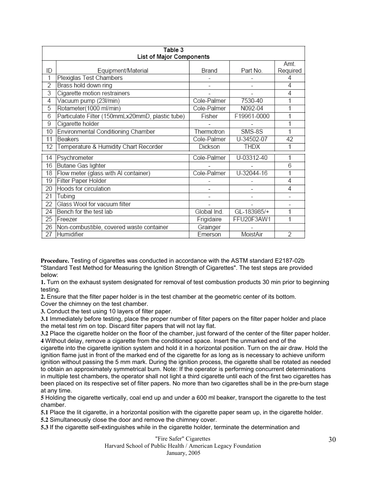|                 | Table 3                                         |             |             |                |  |  |  |  |  |  |  |
|-----------------|-------------------------------------------------|-------------|-------------|----------------|--|--|--|--|--|--|--|
|                 | List of Major Components                        |             |             |                |  |  |  |  |  |  |  |
|                 |                                                 |             |             | Amt.           |  |  |  |  |  |  |  |
| ID              | Equipment/Material                              | Brand       | Part No.    | Required       |  |  |  |  |  |  |  |
| 1               | Plexiglas Test Chambers                         |             |             | 4              |  |  |  |  |  |  |  |
| $\overline{2}$  | Brass hold down ring                            | ٠           |             | $\overline{4}$ |  |  |  |  |  |  |  |
| 3               | Cigarette motion restrainers                    |             |             | 4              |  |  |  |  |  |  |  |
| 4               | Vacuum pump (23I/min)                           | Cole-Palmer | 7530-40     | 1              |  |  |  |  |  |  |  |
| 5               | Rotameter(1000 ml/min)                          | Cole-Palmer | N092-04     | 1              |  |  |  |  |  |  |  |
| 6               | Particulate Filter (150mmLx20mmD, plastic tube) | Fisher      | F19961-0000 | 1              |  |  |  |  |  |  |  |
| $\overline{9}$  | Cigarette holder                                |             |             | 1              |  |  |  |  |  |  |  |
| 10              | Environmental Conditioning Chamber              | Thermotron  | SMS-8S      | 1              |  |  |  |  |  |  |  |
| 11              | <b>Beakers</b>                                  | Cole-Palmer | U-34502-07  | 42             |  |  |  |  |  |  |  |
| 12              | Temperature & Humidity Chart Recorder           | Dickson     | <b>THDX</b> | 1              |  |  |  |  |  |  |  |
| 14              | Psychrometer                                    | Cole-Palmer | U-03312-40  | 1              |  |  |  |  |  |  |  |
| 16              | Butane Gas lighter                              |             |             | 6              |  |  |  |  |  |  |  |
| 18              | Flow meter (glass with Al container)            | Cole-Palmer | U-32044-16  | 1              |  |  |  |  |  |  |  |
| 19              | Filter Paper Holder                             |             |             | 4              |  |  |  |  |  |  |  |
| 20              | Hoods for circulation                           |             |             | 4              |  |  |  |  |  |  |  |
| 21              | Tubing                                          |             |             |                |  |  |  |  |  |  |  |
| 22              | Glass Wool for vacuum filter                    |             |             |                |  |  |  |  |  |  |  |
| 24              | Bench for the test lab                          | Global Ind. | GL-183985/+ | 1              |  |  |  |  |  |  |  |
| 25              | Freezer                                         | Frigidaire  | FFU20F3AW1  | 1              |  |  |  |  |  |  |  |
| 26              | Non-combustible, covered waste container        | Grainger    |             |                |  |  |  |  |  |  |  |
| $\overline{27}$ | Humidifier                                      | Emerson     | MoistAir    | 2              |  |  |  |  |  |  |  |

**Procedure.** Testing of cigarettes was conducted in accordance with the ASTM standard E2187-02b "Standard Test Method for Measuring the Ignition Strength of Cigarettes". The test steps are provided below:

**1.** Turn on the exhaust system designated for removal of test combustion products 30 min prior to beginning testing.

**2.** Ensure that the filter paper holder is in the test chamber at the geometric center of its bottom.

Cover the chimney on the test chamber.

**3.** Conduct the test using 10 layers of filter paper.

**3.1** Immediately before testing, place the proper number of filter papers on the filter paper holder and place the metal test rim on top. Discard filter papers that will not lay flat.

**3.2** Place the cigarette holder on the floor of the chamber, just forward of the center of the filter paper holder. **4** Without delay, remove a cigarette from the conditioned space. Insert the unmarked end of the

cigarette into the cigarette ignition system and hold it in a horizontal position. Turn on the air draw. Hold the ignition flame just in front of the marked end of the cigarette for as long as is necessary to achieve uniform ignition without passing the 5 mm mark. During the ignition process, the cigarette shall be rotated as needed to obtain an approximately symmetrical burn. Note: If the operator is performing concurrent determinations in multiple test chambers, the operator shall not light a third cigarette until each of the first two cigarettes has been placed on its respective set of filter papers. No more than two cigarettes shall be in the pre-burn stage at any time.

**5** Holding the cigarette vertically, coal end up and under a 600 ml beaker, transport the cigarette to the test chamber.

**5.1** Place the lit cigarette, in a horizontal position with the cigarette paper seam up, in the cigarette holder.

**5.2** Simultaneously close the door and remove the chimney cover.

**5.3** If the cigarette self-extinguishes while in the cigarette holder, terminate the determination and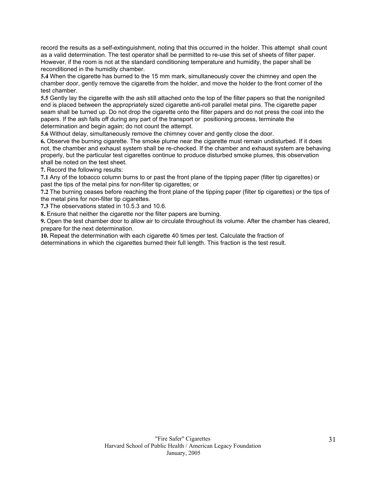record the results as a self-extinguishment, noting that this occurred in the holder. This attempt shall count as a valid determination. The test operator shall be permitted to re-use this set of sheets of filter paper. However, if the room is not at the standard conditioning temperature and humidity, the paper shall be reconditioned in the humidity chamber.

**5.4** When the cigarette has burned to the 15 mm mark, simultaneously cover the chimney and open the chamber door, gently remove the cigarette from the holder, and move the holder to the front corner of the test chamber.

**5.5** Gently lay the cigarette with the ash still attached onto the top of the filter papers so that the nonignited end is placed between the appropriately sized cigarette anti-roll parallel metal pins. The cigarette paper seam shall be turned up. Do not drop the cigarette onto the filter papers and do not press the coal into the papers. If the ash falls off during any part of the transport or positioning process, terminate the determination and begin again; do not count the attempt.

**5.6** Without delay, simultaneously remove the chimney cover and gently close the door.

**6.** Observe the burning cigarette. The smoke plume near the cigarette must remain undisturbed. If it does not, the chamber and exhaust system shall be re-checked. If the chamber and exhaust system are behaving properly, but the particular test cigarettes continue to produce disturbed smoke plumes, this observation shall be noted on the test sheet.

**7.** Record the following results:

**7.1** Any of the tobacco column burns to or past the front plane of the tipping paper (filter tip cigarettes) or past the tips of the metal pins for non-filter tip cigarettes; or

**7.2** The burning ceases before reaching the front plane of the tipping paper (filter tip cigarettes) or the tips of the metal pins for non-filter tip cigarettes.

**7.3** The observations stated in 10.5.3 and 10.6.

**8.** Ensure that neither the cigarette nor the filter papers are burning.

**9.** Open the test chamber door to allow air to circulate throughout its volume. After the chamber has cleared, prepare for the next determination.

**10.** Repeat the determination with each cigarette 40 times per test. Calculate the fraction of determinations in which the cigarettes burned their full length. This fraction is the test result.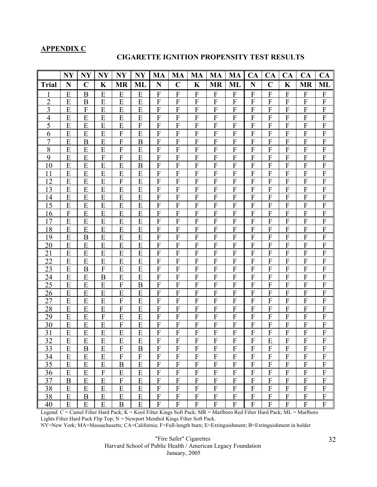## **APPENDIX C**

#### **CIGARETTE IGNITION PROPENSITY TEST RESULTS**

|                | <b>NY</b>        | <b>NY</b>        | $N\mathbf{Y}$             | <b>NY</b>        | <b>NY</b>                 | MA                        | MA                        | MA                        | MA                        | MA                        | <b>CA</b>        | <b>CA</b>                 | <b>CA</b>        | CA                        | CA                        |
|----------------|------------------|------------------|---------------------------|------------------|---------------------------|---------------------------|---------------------------|---------------------------|---------------------------|---------------------------|------------------|---------------------------|------------------|---------------------------|---------------------------|
| <b>Trial</b>   | $\mathbf N$      | $\mathbf C$      | $\mathbf K$               | <b>MR</b>        | ML                        | N                         | $\mathbf C$               | K                         | <b>MR</b>                 | ML                        | $\mathbf N$      | $\mathbf C$               | $\mathbf K$      | <b>MR</b>                 | ML                        |
|                | E                | B                | E                         | E                | E                         | F                         | F                         | F                         | F                         | F                         | F                | F                         | F                | F                         | $\boldsymbol{\mathrm{F}}$ |
| $\overline{c}$ | E                | B                | E                         | E                | E                         | $\boldsymbol{\mathrm{F}}$ | $\boldsymbol{F}$          | F                         | F                         | $\mathbf{F}$              | F                | F                         | F                | $\boldsymbol{\mathrm{F}}$ | $\boldsymbol{\mathrm{F}}$ |
| 3              | E                | F                | E                         | E                | E                         | $\boldsymbol{\mathrm{F}}$ | $\boldsymbol{F}$          | F                         | $\mathbf F$               | $\boldsymbol{F}$          | F                | $\boldsymbol{F}$          | $\boldsymbol{F}$ | $\boldsymbol{F}$          | $\boldsymbol{\mathrm{F}}$ |
| $\overline{4}$ | E                | E                | E                         | E                | E                         | $\boldsymbol{\mathrm{F}}$ | ${\bf F}$                 | ${\bf F}$                 | F                         | $\mathbf{F}$              | F                | $\mathbf{F}$              | $\mathbf{F}$     | $\boldsymbol{\mathrm{F}}$ | $\boldsymbol{\mathrm{F}}$ |
| 5              | E                | E                | E                         | E                | F                         | $\mathbf{F}$              | F                         | F                         | F                         | F                         | F                | F                         | F                | $\mathbf{F}$              | ${\bf F}$                 |
| 6              | E                | E                | E                         | F                | E                         | ${\bf F}$                 | ${\bf F}$                 | $\boldsymbol{F}$          | F                         | F                         | F                | $\mathbf{F}$              | $\mathbf{F}$     | $\mathbf{F}$              | ${\bf F}$                 |
| $\overline{7}$ | E                | $\boldsymbol{B}$ | E                         | F                | B                         | F                         | $\boldsymbol{F}$          | F                         | F                         | F                         | F                | F                         | F                | $\mathbf{F}$              | $\boldsymbol{F}$          |
| $8\,$          | E                | E                | E                         | F                | E                         | $\boldsymbol{\mathrm{F}}$ | F                         | F                         | $\boldsymbol{F}$          | $\boldsymbol{F}$          | F                | $\mathbf{F}$              | F                | $\boldsymbol{F}$          | $\boldsymbol{\mathrm{F}}$ |
| 9              | E                | E                | $\boldsymbol{\mathrm{F}}$ | $\mathbf F$      | E                         | $\boldsymbol{\mathrm{F}}$ | ${\bf F}$                 | $\boldsymbol{\mathrm{F}}$ | $\mathbf F$               | $\boldsymbol{F}$          | $\boldsymbol{F}$ | $\mathbf F$               | ${\bf F}$        | $\mathbf F$               | $\boldsymbol{\mathrm{F}}$ |
| 10             | E                | E                | E                         | E                | B                         | ${\bf F}$                 | $\boldsymbol{F}$          | F                         | F                         | F                         | $\boldsymbol{F}$ | F                         | F                | ${\bf F}$                 | $\boldsymbol{F}$          |
| 11             | E                | E                | E                         | E                | E                         | $\mathbf{F}$              | $\boldsymbol{F}$          | F                         | F                         | F                         | $\boldsymbol{F}$ | F                         | F                | F                         | ${\bf F}$                 |
| 12             | E                | E                | E                         | F                | E                         | $\boldsymbol{\mathrm{F}}$ | F                         | F                         | $\mathbf F$               | $\mathbf{F}$              | $\boldsymbol{F}$ | $\mathbf{F}$              | $\overline{F}$   | $\overline{F}$            | ${\bf F}$                 |
| 13             | E                | E                | E                         | E                | E                         | ${\bf F}$                 | F                         | $\boldsymbol{F}$          | F                         | F                         | F                | $\mathbf{F}$              | F                | $\mathbf{F}$              | ${\bf F}$                 |
| 14             | E                | E                | E                         | E                | E                         | ${\bf F}$                 | F                         | F                         | F                         | F                         | F                | F                         | F                | $\boldsymbol{F}$          | $\boldsymbol{\mathrm{F}}$ |
| 15             | E                | E                | E                         | E                | E                         | $\boldsymbol{F}$          | $\boldsymbol{F}$          | $\boldsymbol{F}$          | $\boldsymbol{F}$          | $\mathbf{F}$              | $\boldsymbol{F}$ | $\boldsymbol{F}$          | F                | $\boldsymbol{F}$          | $\mathbf{F}$              |
| 16             | $\boldsymbol{F}$ | E                | E                         | E                | E                         | $\boldsymbol{\mathrm{F}}$ | ${\bf F}$                 | $\boldsymbol{F}$          | ${\bf F}$                 | ${\bf F}$                 | $\boldsymbol{F}$ | ${\bf F}$                 | ${\bf F}$        | ${\bf F}$                 | ${\bf F}$                 |
| 17             | E                | E                | E                         | E                | E                         | $\mathbf{F}$              | $\boldsymbol{F}$          | F                         | F                         | F                         | F                | F                         | F                | $\mathbf{F}$              | $\boldsymbol{F}$          |
| 18             | E                | E                | E                         | E                | E                         | $\boldsymbol{\mathrm{F}}$ | F                         | F                         | $\boldsymbol{F}$          | $\mathbf F$               | $\boldsymbol{F}$ | F                         | F                | $\boldsymbol{\mathrm{F}}$ | $\boldsymbol{\mathrm{F}}$ |
| 19             | E                | B                | E                         | E                | E                         | $\mathbf{F}$              | $\overline{F}$            | $\mathbf F$               | F                         | F                         | F                | F                         | $\overline{F}$   | $\overline{F}$            | ${\bf F}$                 |
| 20             | E                | E                | E                         | E                | E                         | ${\bf F}$                 | $\boldsymbol{F}$          | F                         | F                         | $\boldsymbol{F}$          | F                | $\mathbf{F}$              | F                | ${\bf F}$                 | $\boldsymbol{\mathrm{F}}$ |
| 21             | E                | E                | E                         | E                | E                         | $\boldsymbol{F}$          | $\boldsymbol{F}$          | $\boldsymbol{F}$          | ${\bf F}$                 | $\mathbf{F}$              | F                | $\mathbf F$               | $\boldsymbol{F}$ | $\boldsymbol{\mathrm{F}}$ | $\boldsymbol{\mathrm{F}}$ |
| 22             | E                | E                | E                         | E                | E                         | $\boldsymbol{F}$          | $\boldsymbol{\mathrm{F}}$ | $\boldsymbol{F}$          | $\boldsymbol{\mathrm{F}}$ | ${\bf F}$                 | $\boldsymbol{F}$ | F                         | $\mathbf{F}$     | $\boldsymbol{\mathrm{F}}$ | $\boldsymbol{\mathrm{F}}$ |
| 23             | E                | $\boldsymbol{B}$ | ${\bf F}$                 | E                | E                         | ${\bf F}$                 | ${\bf F}$                 | ${\bf F}$                 | $\mathbf F$               | $\overline{F}$            | $\boldsymbol{F}$ | ${\bf F}$                 | $\mathbf{F}$     | $\mathbf{F}$              | ${\bf F}$                 |
| 24             | E                | E                | $\boldsymbol{B}$          | E                | E                         | ${\bf F}$                 | $\mathbf F$               | $\mathbf F$               | F                         | $\mathbf{F}$              | $\boldsymbol{F}$ | $\mathbf{F}$              | F                | $\mathbf{F}$              | ${\bf F}$                 |
| 25             | E                | E                | E                         | $\boldsymbol{F}$ | B                         | $\boldsymbol{F}$          | F                         | F                         | $\mathbf{F}$              | F                         | F                | F                         | F                | $\mathbf{F}$              | $\boldsymbol{\mathrm{F}}$ |
| 26             | E                | E                | E                         | E                | E                         | $\overline{F}$            | F                         | $\mathbf F$               | F                         | F                         | F                | F                         | $\overline{F}$   | F                         | ${\bf F}$                 |
| 27             | Ε                | E                | E                         | F                | E                         | $\boldsymbol{F}$          | F                         | F                         | F                         | F                         | F                | F                         | F                | F                         | $\boldsymbol{\mathrm{F}}$ |
| 28             | E                | E                | E                         | $\boldsymbol{F}$ | E                         | $\boldsymbol{\mathrm{F}}$ | $\boldsymbol{\mathrm{F}}$ | $\boldsymbol{F}$          | $\boldsymbol{\mathrm{F}}$ | $\mathbf F$               | $\boldsymbol{F}$ | $\boldsymbol{F}$          | ${\bf F}$        | $\boldsymbol{\mathrm{F}}$ | $\boldsymbol{F}$          |
| 29             | E                | E                | $\boldsymbol{F}$          | E                | E                         | ${\bf F}$                 | $\boldsymbol{F}$          | F                         | $\boldsymbol{F}$          | $\boldsymbol{F}$          | F                | ${\bf F}$                 | F                | ${\bf F}$                 | F                         |
| 30             | E                | E                | E                         | F                | E                         | F                         | F                         | F                         | F                         | F                         | F                | F                         | F                | F                         | F                         |
| 31             | E                | E                | E                         | E                | E                         | ${\bf F}$                 | ${\bf F}$                 | F                         | F                         | $\mathbf{F}$              | F                | F                         | F                | F                         | ${\bf F}$                 |
| 32             | E                | E                | E                         | E                | E                         | F                         | F                         | F                         | F                         | $\overline{F}$            | $\overline{F}$   | E                         | $\overline{F}$   | ${\bf F}$                 | $\overline{F}$            |
| 33             | E                | B                | E                         | F                | B                         | $\mathbf{F}$              | $\boldsymbol{F}$          | F                         | F                         | F                         | F                | F                         | F                | $\boldsymbol{F}$          | F                         |
| 34             | E                | E                | E                         | $\boldsymbol{F}$ | $\boldsymbol{\mathrm{F}}$ | $\boldsymbol{\mathrm{F}}$ | $\boldsymbol{\mathrm{F}}$ | $\boldsymbol{\mathrm{F}}$ | $\boldsymbol{\mathrm{F}}$ | $\mathbf{F}$              | $\boldsymbol{F}$ | $\boldsymbol{\mathrm{F}}$ | ${\bf F}$        | $\boldsymbol{\mathrm{F}}$ | $\boldsymbol{\mathrm{F}}$ |
| 35             | E                | E                | ${\bf E}$                 | $\boldsymbol{B}$ | E                         | ${\bf F}$                 | ${\bf F}$                 | ${\bf F}$                 | $\boldsymbol{\mathrm{F}}$ | $\boldsymbol{\mathrm{F}}$ | ${\bf F}$        | ${\bf F}$                 | ${\bf F}$        | ${\bf F}$                 | ${\bf F}$                 |
| 36             | E                | E                | F                         | E                | E                         | $\overline{F}$            | ${\bf F}$                 | $\mathbf F$               | F                         | $\mathbf F$               | F                | F                         | F                | $\mathbf{F}$              | ${\bf F}$                 |
| 37             | $\boldsymbol{B}$ | E                | E                         | F                | E                         | ${\bf F}$                 | $\mathbf F$               | $\mathbf F$               | F                         | $\mathbf F$               | $\mathbf F$      | F                         | $\mathbf{F}$     | ${\bf F}$                 | ${\bf F}$                 |
| 38             | E                | E                | E                         | E                | E                         | $\overline{F}$            | $\mathbf F$               | $\mathbf F$               | F                         | F                         | F                | F                         | $\overline{F}$   | $\overline{F}$            | ${\bf F}$                 |
| 38             | E                | $\mathbf B$      | E                         | E                | E                         | ${\bf F}$                 | $\boldsymbol{\mathrm{F}}$ | $\boldsymbol{\mathrm{F}}$ | $\mathbf F$               | $\overline{F}$            | $\mathbf F$      | F                         | F                | ${\bf F}$                 | ${\bf F}$                 |
| 40             | E                | E                | E                         | B                | E                         | ${\bf F}$                 | ${\bf F}$                 | ${\bf F}$                 | F                         | ${\bf F}$                 | $\mathbf F$      | F                         | F                | ${\bf F}$                 | ${\bf F}$                 |

Legend: C = Camel Filter Hard Pack; K = Kool Filter Kings Soft Pack; MR = Marlboro Red Filter Hard Pack; ML = Marlboro Lights Filter Hard Pack Flip Top; N = Newport Menthol Kings Filter Soft Pack.

NY=New York; MA=Massachusetts; CA=California; F=Full-length burn; E=Extinguishment; B=Extinguishment in holder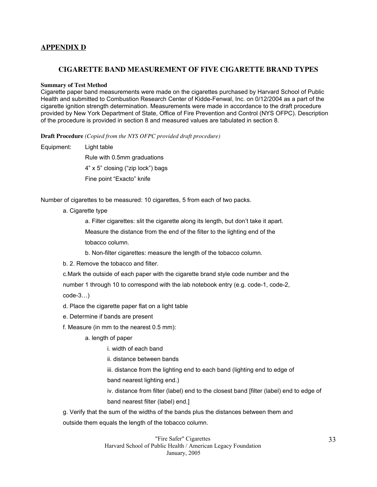# **APPENDIX D**

## **CIGARETTE BAND MEASUREMENT OF FIVE CIGARETTE BRAND TYPES**

#### **Summary of Test Method**

Cigarette paper band measurements were made on the cigarettes purchased by Harvard School of Public Health and submitted to Combustion Research Center of Kidde-Fenwal, Inc. on 0/12/2004 as a part of the cigarette ignition strength determination. Measurements were made in accordance to the draft procedure provided by New York Department of State, Office of Fire Prevention and Control (NYS OFPC). Description of the procedure is provided in section 8 and measured values are tabulated in section 8.

**Draft Procedure** *(Copied from the NYS OFPC provided draft procedure)*

Equipment: Light table

Rule with 0.5mm graduations 4" x 5" closing ("zip lock") bags Fine point "Exacto" knife

Number of cigarettes to be measured: 10 cigarettes, 5 from each of two packs.

a. Cigarette type

a. Filter cigarettes: slit the cigarette along its length, but don't take it apart.

Measure the distance from the end of the filter to the lighting end of the

tobacco column.

b. Non-filter cigarettes: measure the length of the tobacco column.

b. 2. Remove the tobacco and filter.

c.Mark the outside of each paper with the cigarette brand style code number and the number 1 through 10 to correspond with the lab notebook entry (e.g. code-1, code-2, code-3…)

d. Place the cigarette paper flat on a light table

- e. Determine if bands are present
- f. Measure (in mm to the nearest 0.5 mm):
	- a. length of paper

i. width of each band

ii. distance between bands

iii. distance from the lighting end to each band (lighting end to edge of band nearest lighting end.)

iv. distance from filter (label) end to the closest band [filter (label) end to edge of band nearest filter (label) end.]

g. Verify that the sum of the widths of the bands plus the distances between them and outside them equals the length of the tobacco column.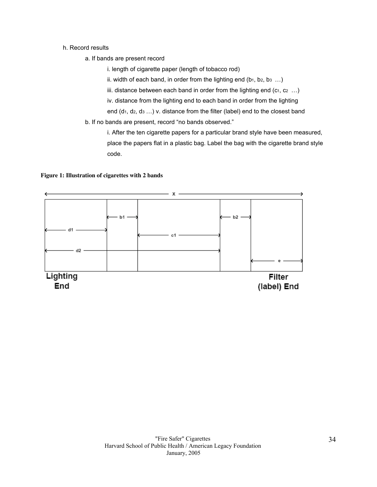#### h. Record results

a. If bands are present record

i. length of cigarette paper (length of tobacco rod)

ii. width of each band, in order from the lighting end  $(b_1, b_2, b_3 ...)$ 

iii. distance between each band in order from the lighting end  $(c_1, c_2 \ldots)$ 

iv. distance from the lighting end to each band in order from the lighting

end  $(d_1, d_2, d_3 ...)$  v. distance from the filter (label) end to the closest band

b. If no bands are present, record "no bands observed."

i. After the ten cigarette papers for a particular brand style have been measured, place the papers flat in a plastic bag. Label the bag with the cigarette brand style code.

#### **Figure 1: Illustration of cigarettes with 2 bands**

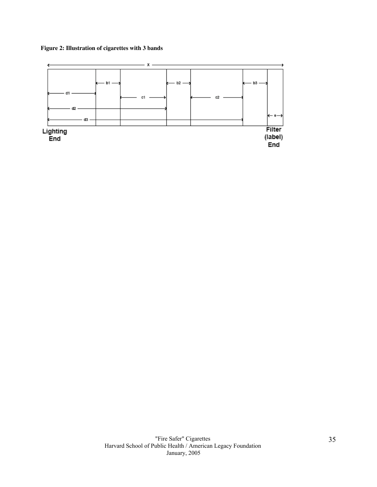## **Figure 2: Illustration of cigarettes with 3 bands**

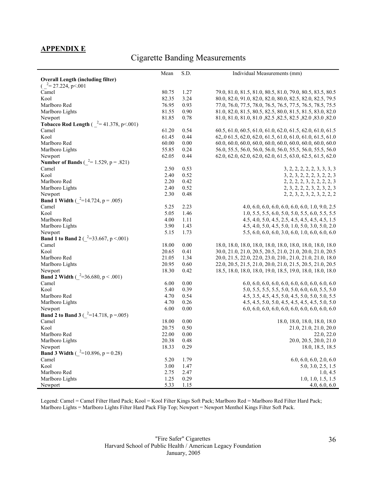# **APPENDIX E**

# Cigarette Banding Measurements

| <b>Overall Length (including filter)</b><br>$\left( \right)^{-2}$ = 27.224, p < 001<br>Camel<br>80.75<br>1.27<br>79.0, 81.0, 81.5, 81.0, 80.5, 81.0, 79.0, 80.5, 83.5, 80.5<br>Kool<br>82.35<br>3.24<br>80.0, 82.0, 91.0, 82.0, 82.0, 80.0, 82.5, 82.0, 82.5, 79.5<br>76.95<br>0.93<br>Marlboro Red<br>77.0, 76.0, 77.5, 78.0, 76.5, 76.5, 77.5, 76.5, 78.5, 75.5<br>81.55<br>Marlboro Lights<br>0.90<br>81.0, 82.0, 81.5, 80.5, 82.5, 80.0, 81.5, 81.5, 83.0, 82.0<br>81.85<br>0.78<br>81.0, 81.0, 81.0, 82.5, 82.5, 82.5, 82.5, 82.0, 83.0, 82.0<br>Newport<br><b>Tobacco Rod Length</b> ( $^{2}$ = 41.378, p < .001)<br>Camel<br>0.54<br>61.20<br>60.5, 61.0, 60.5, 61.0, 61.0, 62.0, 61.5, 62.0, 61.0, 61.5<br>Kool<br>62, 0 61.5, 62.0, 62.0, 61.5, 61.0, 61.0, 61.0, 61.5, 61.0<br>61.45<br>0.44<br>Marlboro Red<br>60.00<br>0.00<br>60.0, 60.0, 60.0, 60.0, 60.0, 60.0, 60.0, 60.0, 60.0, 60.0<br>55.85<br>0.24<br>56.0, 55.5, 56.0, 56.0, 56.0, 56.0, 55.5, 56.0, 55.5, 56.0<br>Marlboro Lights<br>62.05<br>0.44<br>62.0, 62.0, 62.0, 62.0, 62.0, 61.5, 63.0, 62.5, 61.5, 62.0<br>Newport<br><b>Number of Bands</b> ( $^{2}$ = 1.529, p = .821)<br>Camel<br>2.50<br>0.53<br>3, 2, 2, 2, 2, 2, 3, 3, 3, 3<br>Kool<br>2.40<br>0.52<br>3, 2, 3, 2, 2, 2, 3, 2, 2, 3<br>Marlboro Red<br>2.20<br>0.42<br>2, 2, 2, 2, 3, 2, 2, 2, 2, 3<br>0.52<br>Marlboro Lights<br>2.40<br>2, 3, 2, 2, 2, 3, 2, 3, 2, 3<br>2.30<br>0.48<br>2, 2, 3, 2, 3, 2, 3, 2, 2, 2<br>Newport<br><b>Band 1 Width</b> ( $^{2}$ =14.724, p = .005)<br>Camel<br>2.23<br>5.25<br>$4.0, 6.0, 6.0, 6.0, 6.0, 6.0, 6.0, 1.0, 9.0, 2.5$<br>Kool<br>5.05<br>1.46<br>$1.0, 5.5, 5.5, 6.0, 5.0, 5.0, 5.5, 6.0, 5.5, 5.5$<br>Marlboro Red<br>4.00<br>1.11<br>4.5, 4.0, 5.0, 4.5, 2.5, 4.5, 4.5, 4.5, 4.5, 1.5<br>3.90<br>1.43<br>Marlboro Lights<br>4.5, 4.0, 5.0, 4.5, 5.0, 1.0, 5.0, 3.0, 5.0, 2.0<br>5.15<br>1.73<br>Newport<br>5.5, 6.0, 6.0, 6.0, 3.0, 6.0, 1.0, 6.0, 6.0, 6.0<br><b>Band 1 to Band 2</b> ( $^{2}=33.667$ , p < 001)<br>Camel<br>18.00<br>0.00<br>18.0, 18.0, 18.0, 18.0, 18.0, 18.0, 18.0, 18.0, 18.0, 18.0<br>Kool<br>20.65<br>0.41<br>30.0, 21.0, 21.0, 20.5, 20.5, 21.0, 21.0, 20.0, 21.0, 20.5<br>20.0, 21.5, 22.0, 22.0, 23.0, 210., 21.0, 21.0, 21.0, 18.0<br>Marlboro Red<br>21.05<br>1.34<br>20.95<br>Marlboro Lights<br>0.60<br>22.0, 20.5, 21.5, 21.0, 20.0, 21.0, 21.5, 20.5, 21.0, 20.5<br>18.30<br>Newport<br>0.42<br>18.5, 18.0, 18.0, 18.0, 19.0, 18.5, 19.0, 18.0, 18.0, 18.0<br><b>Band 2 Width</b> ( $^{2}=36.680$ , p < .001)<br>Camel<br>6.00<br>0.00<br>Kool<br>5.40<br>0.39<br>5.0, 5.5, 5.5, 5.5, 5.0, 5.0, 6.0, 6.0, 5.5, 5.0<br>Marlboro Red<br>4.70<br>0.54<br>4.5, 3.5, 4.5, 4.5, 5.0, 4.5, 5.0, 5.0, 5.0, 5.5<br>4.70<br>Marlboro Lights<br>0.26<br>4.5, 4.5, 5.0, 5.0, 4.5, 4.5, 4.5, 4.5, 5.0, 5.0<br>0.00<br>Newport<br>6.00<br><b>Band 2 to Band 3</b> ( $^{2}$ =14.718, p = 0.05)<br>Camel<br>0.00<br>18.00<br>18.0, 18.0, 18.0, 18.0, 18.0<br>Kool<br>20.75<br>0.50<br>21.0, 21.0, 21.0, 20.0<br>22.00<br>Marlboro Red<br>0.00<br>22.0, 22.0<br>Marlboro Lights<br>20.38<br>0.48<br>20.0, 20.5, 20.0, 21.0<br>18.33<br>0.29<br>Newport<br>18.0, 18.5, 18.5<br><b>Band 3 Width</b> ( $^{2}$ =10.896, p = 0.28)<br>Camel<br>5.20<br>1.79<br>6.0, 6.0, 6.0, 2.0, 6.0<br>Kool<br>3.00<br>1.47<br>5.0, 3.0, 2.5, 1.5<br>Marlboro Red<br>2.75<br>2.47<br>1.0, 4.5<br>1.25<br>0.29<br>1.0, 1.0, 1.5, 1.5<br>Marlboro Lights | Mean | S.D. | Individual Measurements (mm) |
|-------------------------------------------------------------------------------------------------------------------------------------------------------------------------------------------------------------------------------------------------------------------------------------------------------------------------------------------------------------------------------------------------------------------------------------------------------------------------------------------------------------------------------------------------------------------------------------------------------------------------------------------------------------------------------------------------------------------------------------------------------------------------------------------------------------------------------------------------------------------------------------------------------------------------------------------------------------------------------------------------------------------------------------------------------------------------------------------------------------------------------------------------------------------------------------------------------------------------------------------------------------------------------------------------------------------------------------------------------------------------------------------------------------------------------------------------------------------------------------------------------------------------------------------------------------------------------------------------------------------------------------------------------------------------------------------------------------------------------------------------------------------------------------------------------------------------------------------------------------------------------------------------------------------------------------------------------------------------------------------------------------------------------------------------------------------------------------------------------------------------------------------------------------------------------------------------------------------------------------------------------------------------------------------------------------------------------------------------------------------------------------------------------------------------------------------------------------------------------------------------------------------------------------------------------------------------------------------------------------------------------------------------------------------------------------------------------------------------------------------------------------------------------------------------------------------------------------------------------------------------------------------------------------------------------------------------------------------------------------------------------------------------------------------------------------------------------------------------------------------------------------------------------------------------------------------------------------------------------------------------------------------------------------------------------------------------------------------------------------------------------------------------------------------------------------------|------|------|------------------------------|
|                                                                                                                                                                                                                                                                                                                                                                                                                                                                                                                                                                                                                                                                                                                                                                                                                                                                                                                                                                                                                                                                                                                                                                                                                                                                                                                                                                                                                                                                                                                                                                                                                                                                                                                                                                                                                                                                                                                                                                                                                                                                                                                                                                                                                                                                                                                                                                                                                                                                                                                                                                                                                                                                                                                                                                                                                                                                                                                                                                                                                                                                                                                                                                                                                                                                                                                                                                                                                                           |      |      |                              |
|                                                                                                                                                                                                                                                                                                                                                                                                                                                                                                                                                                                                                                                                                                                                                                                                                                                                                                                                                                                                                                                                                                                                                                                                                                                                                                                                                                                                                                                                                                                                                                                                                                                                                                                                                                                                                                                                                                                                                                                                                                                                                                                                                                                                                                                                                                                                                                                                                                                                                                                                                                                                                                                                                                                                                                                                                                                                                                                                                                                                                                                                                                                                                                                                                                                                                                                                                                                                                                           |      |      |                              |
|                                                                                                                                                                                                                                                                                                                                                                                                                                                                                                                                                                                                                                                                                                                                                                                                                                                                                                                                                                                                                                                                                                                                                                                                                                                                                                                                                                                                                                                                                                                                                                                                                                                                                                                                                                                                                                                                                                                                                                                                                                                                                                                                                                                                                                                                                                                                                                                                                                                                                                                                                                                                                                                                                                                                                                                                                                                                                                                                                                                                                                                                                                                                                                                                                                                                                                                                                                                                                                           |      |      |                              |
|                                                                                                                                                                                                                                                                                                                                                                                                                                                                                                                                                                                                                                                                                                                                                                                                                                                                                                                                                                                                                                                                                                                                                                                                                                                                                                                                                                                                                                                                                                                                                                                                                                                                                                                                                                                                                                                                                                                                                                                                                                                                                                                                                                                                                                                                                                                                                                                                                                                                                                                                                                                                                                                                                                                                                                                                                                                                                                                                                                                                                                                                                                                                                                                                                                                                                                                                                                                                                                           |      |      |                              |
|                                                                                                                                                                                                                                                                                                                                                                                                                                                                                                                                                                                                                                                                                                                                                                                                                                                                                                                                                                                                                                                                                                                                                                                                                                                                                                                                                                                                                                                                                                                                                                                                                                                                                                                                                                                                                                                                                                                                                                                                                                                                                                                                                                                                                                                                                                                                                                                                                                                                                                                                                                                                                                                                                                                                                                                                                                                                                                                                                                                                                                                                                                                                                                                                                                                                                                                                                                                                                                           |      |      |                              |
|                                                                                                                                                                                                                                                                                                                                                                                                                                                                                                                                                                                                                                                                                                                                                                                                                                                                                                                                                                                                                                                                                                                                                                                                                                                                                                                                                                                                                                                                                                                                                                                                                                                                                                                                                                                                                                                                                                                                                                                                                                                                                                                                                                                                                                                                                                                                                                                                                                                                                                                                                                                                                                                                                                                                                                                                                                                                                                                                                                                                                                                                                                                                                                                                                                                                                                                                                                                                                                           |      |      |                              |
|                                                                                                                                                                                                                                                                                                                                                                                                                                                                                                                                                                                                                                                                                                                                                                                                                                                                                                                                                                                                                                                                                                                                                                                                                                                                                                                                                                                                                                                                                                                                                                                                                                                                                                                                                                                                                                                                                                                                                                                                                                                                                                                                                                                                                                                                                                                                                                                                                                                                                                                                                                                                                                                                                                                                                                                                                                                                                                                                                                                                                                                                                                                                                                                                                                                                                                                                                                                                                                           |      |      |                              |
|                                                                                                                                                                                                                                                                                                                                                                                                                                                                                                                                                                                                                                                                                                                                                                                                                                                                                                                                                                                                                                                                                                                                                                                                                                                                                                                                                                                                                                                                                                                                                                                                                                                                                                                                                                                                                                                                                                                                                                                                                                                                                                                                                                                                                                                                                                                                                                                                                                                                                                                                                                                                                                                                                                                                                                                                                                                                                                                                                                                                                                                                                                                                                                                                                                                                                                                                                                                                                                           |      |      |                              |
|                                                                                                                                                                                                                                                                                                                                                                                                                                                                                                                                                                                                                                                                                                                                                                                                                                                                                                                                                                                                                                                                                                                                                                                                                                                                                                                                                                                                                                                                                                                                                                                                                                                                                                                                                                                                                                                                                                                                                                                                                                                                                                                                                                                                                                                                                                                                                                                                                                                                                                                                                                                                                                                                                                                                                                                                                                                                                                                                                                                                                                                                                                                                                                                                                                                                                                                                                                                                                                           |      |      |                              |
|                                                                                                                                                                                                                                                                                                                                                                                                                                                                                                                                                                                                                                                                                                                                                                                                                                                                                                                                                                                                                                                                                                                                                                                                                                                                                                                                                                                                                                                                                                                                                                                                                                                                                                                                                                                                                                                                                                                                                                                                                                                                                                                                                                                                                                                                                                                                                                                                                                                                                                                                                                                                                                                                                                                                                                                                                                                                                                                                                                                                                                                                                                                                                                                                                                                                                                                                                                                                                                           |      |      |                              |
|                                                                                                                                                                                                                                                                                                                                                                                                                                                                                                                                                                                                                                                                                                                                                                                                                                                                                                                                                                                                                                                                                                                                                                                                                                                                                                                                                                                                                                                                                                                                                                                                                                                                                                                                                                                                                                                                                                                                                                                                                                                                                                                                                                                                                                                                                                                                                                                                                                                                                                                                                                                                                                                                                                                                                                                                                                                                                                                                                                                                                                                                                                                                                                                                                                                                                                                                                                                                                                           |      |      |                              |
|                                                                                                                                                                                                                                                                                                                                                                                                                                                                                                                                                                                                                                                                                                                                                                                                                                                                                                                                                                                                                                                                                                                                                                                                                                                                                                                                                                                                                                                                                                                                                                                                                                                                                                                                                                                                                                                                                                                                                                                                                                                                                                                                                                                                                                                                                                                                                                                                                                                                                                                                                                                                                                                                                                                                                                                                                                                                                                                                                                                                                                                                                                                                                                                                                                                                                                                                                                                                                                           |      |      |                              |
|                                                                                                                                                                                                                                                                                                                                                                                                                                                                                                                                                                                                                                                                                                                                                                                                                                                                                                                                                                                                                                                                                                                                                                                                                                                                                                                                                                                                                                                                                                                                                                                                                                                                                                                                                                                                                                                                                                                                                                                                                                                                                                                                                                                                                                                                                                                                                                                                                                                                                                                                                                                                                                                                                                                                                                                                                                                                                                                                                                                                                                                                                                                                                                                                                                                                                                                                                                                                                                           |      |      |                              |
|                                                                                                                                                                                                                                                                                                                                                                                                                                                                                                                                                                                                                                                                                                                                                                                                                                                                                                                                                                                                                                                                                                                                                                                                                                                                                                                                                                                                                                                                                                                                                                                                                                                                                                                                                                                                                                                                                                                                                                                                                                                                                                                                                                                                                                                                                                                                                                                                                                                                                                                                                                                                                                                                                                                                                                                                                                                                                                                                                                                                                                                                                                                                                                                                                                                                                                                                                                                                                                           |      |      |                              |
|                                                                                                                                                                                                                                                                                                                                                                                                                                                                                                                                                                                                                                                                                                                                                                                                                                                                                                                                                                                                                                                                                                                                                                                                                                                                                                                                                                                                                                                                                                                                                                                                                                                                                                                                                                                                                                                                                                                                                                                                                                                                                                                                                                                                                                                                                                                                                                                                                                                                                                                                                                                                                                                                                                                                                                                                                                                                                                                                                                                                                                                                                                                                                                                                                                                                                                                                                                                                                                           |      |      |                              |
|                                                                                                                                                                                                                                                                                                                                                                                                                                                                                                                                                                                                                                                                                                                                                                                                                                                                                                                                                                                                                                                                                                                                                                                                                                                                                                                                                                                                                                                                                                                                                                                                                                                                                                                                                                                                                                                                                                                                                                                                                                                                                                                                                                                                                                                                                                                                                                                                                                                                                                                                                                                                                                                                                                                                                                                                                                                                                                                                                                                                                                                                                                                                                                                                                                                                                                                                                                                                                                           |      |      |                              |
|                                                                                                                                                                                                                                                                                                                                                                                                                                                                                                                                                                                                                                                                                                                                                                                                                                                                                                                                                                                                                                                                                                                                                                                                                                                                                                                                                                                                                                                                                                                                                                                                                                                                                                                                                                                                                                                                                                                                                                                                                                                                                                                                                                                                                                                                                                                                                                                                                                                                                                                                                                                                                                                                                                                                                                                                                                                                                                                                                                                                                                                                                                                                                                                                                                                                                                                                                                                                                                           |      |      |                              |
|                                                                                                                                                                                                                                                                                                                                                                                                                                                                                                                                                                                                                                                                                                                                                                                                                                                                                                                                                                                                                                                                                                                                                                                                                                                                                                                                                                                                                                                                                                                                                                                                                                                                                                                                                                                                                                                                                                                                                                                                                                                                                                                                                                                                                                                                                                                                                                                                                                                                                                                                                                                                                                                                                                                                                                                                                                                                                                                                                                                                                                                                                                                                                                                                                                                                                                                                                                                                                                           |      |      |                              |
|                                                                                                                                                                                                                                                                                                                                                                                                                                                                                                                                                                                                                                                                                                                                                                                                                                                                                                                                                                                                                                                                                                                                                                                                                                                                                                                                                                                                                                                                                                                                                                                                                                                                                                                                                                                                                                                                                                                                                                                                                                                                                                                                                                                                                                                                                                                                                                                                                                                                                                                                                                                                                                                                                                                                                                                                                                                                                                                                                                                                                                                                                                                                                                                                                                                                                                                                                                                                                                           |      |      |                              |
|                                                                                                                                                                                                                                                                                                                                                                                                                                                                                                                                                                                                                                                                                                                                                                                                                                                                                                                                                                                                                                                                                                                                                                                                                                                                                                                                                                                                                                                                                                                                                                                                                                                                                                                                                                                                                                                                                                                                                                                                                                                                                                                                                                                                                                                                                                                                                                                                                                                                                                                                                                                                                                                                                                                                                                                                                                                                                                                                                                                                                                                                                                                                                                                                                                                                                                                                                                                                                                           |      |      |                              |
|                                                                                                                                                                                                                                                                                                                                                                                                                                                                                                                                                                                                                                                                                                                                                                                                                                                                                                                                                                                                                                                                                                                                                                                                                                                                                                                                                                                                                                                                                                                                                                                                                                                                                                                                                                                                                                                                                                                                                                                                                                                                                                                                                                                                                                                                                                                                                                                                                                                                                                                                                                                                                                                                                                                                                                                                                                                                                                                                                                                                                                                                                                                                                                                                                                                                                                                                                                                                                                           |      |      |                              |
|                                                                                                                                                                                                                                                                                                                                                                                                                                                                                                                                                                                                                                                                                                                                                                                                                                                                                                                                                                                                                                                                                                                                                                                                                                                                                                                                                                                                                                                                                                                                                                                                                                                                                                                                                                                                                                                                                                                                                                                                                                                                                                                                                                                                                                                                                                                                                                                                                                                                                                                                                                                                                                                                                                                                                                                                                                                                                                                                                                                                                                                                                                                                                                                                                                                                                                                                                                                                                                           |      |      |                              |
|                                                                                                                                                                                                                                                                                                                                                                                                                                                                                                                                                                                                                                                                                                                                                                                                                                                                                                                                                                                                                                                                                                                                                                                                                                                                                                                                                                                                                                                                                                                                                                                                                                                                                                                                                                                                                                                                                                                                                                                                                                                                                                                                                                                                                                                                                                                                                                                                                                                                                                                                                                                                                                                                                                                                                                                                                                                                                                                                                                                                                                                                                                                                                                                                                                                                                                                                                                                                                                           |      |      |                              |
|                                                                                                                                                                                                                                                                                                                                                                                                                                                                                                                                                                                                                                                                                                                                                                                                                                                                                                                                                                                                                                                                                                                                                                                                                                                                                                                                                                                                                                                                                                                                                                                                                                                                                                                                                                                                                                                                                                                                                                                                                                                                                                                                                                                                                                                                                                                                                                                                                                                                                                                                                                                                                                                                                                                                                                                                                                                                                                                                                                                                                                                                                                                                                                                                                                                                                                                                                                                                                                           |      |      |                              |
|                                                                                                                                                                                                                                                                                                                                                                                                                                                                                                                                                                                                                                                                                                                                                                                                                                                                                                                                                                                                                                                                                                                                                                                                                                                                                                                                                                                                                                                                                                                                                                                                                                                                                                                                                                                                                                                                                                                                                                                                                                                                                                                                                                                                                                                                                                                                                                                                                                                                                                                                                                                                                                                                                                                                                                                                                                                                                                                                                                                                                                                                                                                                                                                                                                                                                                                                                                                                                                           |      |      |                              |
|                                                                                                                                                                                                                                                                                                                                                                                                                                                                                                                                                                                                                                                                                                                                                                                                                                                                                                                                                                                                                                                                                                                                                                                                                                                                                                                                                                                                                                                                                                                                                                                                                                                                                                                                                                                                                                                                                                                                                                                                                                                                                                                                                                                                                                                                                                                                                                                                                                                                                                                                                                                                                                                                                                                                                                                                                                                                                                                                                                                                                                                                                                                                                                                                                                                                                                                                                                                                                                           |      |      |                              |
|                                                                                                                                                                                                                                                                                                                                                                                                                                                                                                                                                                                                                                                                                                                                                                                                                                                                                                                                                                                                                                                                                                                                                                                                                                                                                                                                                                                                                                                                                                                                                                                                                                                                                                                                                                                                                                                                                                                                                                                                                                                                                                                                                                                                                                                                                                                                                                                                                                                                                                                                                                                                                                                                                                                                                                                                                                                                                                                                                                                                                                                                                                                                                                                                                                                                                                                                                                                                                                           |      |      |                              |
|                                                                                                                                                                                                                                                                                                                                                                                                                                                                                                                                                                                                                                                                                                                                                                                                                                                                                                                                                                                                                                                                                                                                                                                                                                                                                                                                                                                                                                                                                                                                                                                                                                                                                                                                                                                                                                                                                                                                                                                                                                                                                                                                                                                                                                                                                                                                                                                                                                                                                                                                                                                                                                                                                                                                                                                                                                                                                                                                                                                                                                                                                                                                                                                                                                                                                                                                                                                                                                           |      |      |                              |
|                                                                                                                                                                                                                                                                                                                                                                                                                                                                                                                                                                                                                                                                                                                                                                                                                                                                                                                                                                                                                                                                                                                                                                                                                                                                                                                                                                                                                                                                                                                                                                                                                                                                                                                                                                                                                                                                                                                                                                                                                                                                                                                                                                                                                                                                                                                                                                                                                                                                                                                                                                                                                                                                                                                                                                                                                                                                                                                                                                                                                                                                                                                                                                                                                                                                                                                                                                                                                                           |      |      |                              |
|                                                                                                                                                                                                                                                                                                                                                                                                                                                                                                                                                                                                                                                                                                                                                                                                                                                                                                                                                                                                                                                                                                                                                                                                                                                                                                                                                                                                                                                                                                                                                                                                                                                                                                                                                                                                                                                                                                                                                                                                                                                                                                                                                                                                                                                                                                                                                                                                                                                                                                                                                                                                                                                                                                                                                                                                                                                                                                                                                                                                                                                                                                                                                                                                                                                                                                                                                                                                                                           |      |      |                              |
|                                                                                                                                                                                                                                                                                                                                                                                                                                                                                                                                                                                                                                                                                                                                                                                                                                                                                                                                                                                                                                                                                                                                                                                                                                                                                                                                                                                                                                                                                                                                                                                                                                                                                                                                                                                                                                                                                                                                                                                                                                                                                                                                                                                                                                                                                                                                                                                                                                                                                                                                                                                                                                                                                                                                                                                                                                                                                                                                                                                                                                                                                                                                                                                                                                                                                                                                                                                                                                           |      |      |                              |
|                                                                                                                                                                                                                                                                                                                                                                                                                                                                                                                                                                                                                                                                                                                                                                                                                                                                                                                                                                                                                                                                                                                                                                                                                                                                                                                                                                                                                                                                                                                                                                                                                                                                                                                                                                                                                                                                                                                                                                                                                                                                                                                                                                                                                                                                                                                                                                                                                                                                                                                                                                                                                                                                                                                                                                                                                                                                                                                                                                                                                                                                                                                                                                                                                                                                                                                                                                                                                                           |      |      |                              |
|                                                                                                                                                                                                                                                                                                                                                                                                                                                                                                                                                                                                                                                                                                                                                                                                                                                                                                                                                                                                                                                                                                                                                                                                                                                                                                                                                                                                                                                                                                                                                                                                                                                                                                                                                                                                                                                                                                                                                                                                                                                                                                                                                                                                                                                                                                                                                                                                                                                                                                                                                                                                                                                                                                                                                                                                                                                                                                                                                                                                                                                                                                                                                                                                                                                                                                                                                                                                                                           |      |      |                              |
|                                                                                                                                                                                                                                                                                                                                                                                                                                                                                                                                                                                                                                                                                                                                                                                                                                                                                                                                                                                                                                                                                                                                                                                                                                                                                                                                                                                                                                                                                                                                                                                                                                                                                                                                                                                                                                                                                                                                                                                                                                                                                                                                                                                                                                                                                                                                                                                                                                                                                                                                                                                                                                                                                                                                                                                                                                                                                                                                                                                                                                                                                                                                                                                                                                                                                                                                                                                                                                           |      |      |                              |
|                                                                                                                                                                                                                                                                                                                                                                                                                                                                                                                                                                                                                                                                                                                                                                                                                                                                                                                                                                                                                                                                                                                                                                                                                                                                                                                                                                                                                                                                                                                                                                                                                                                                                                                                                                                                                                                                                                                                                                                                                                                                                                                                                                                                                                                                                                                                                                                                                                                                                                                                                                                                                                                                                                                                                                                                                                                                                                                                                                                                                                                                                                                                                                                                                                                                                                                                                                                                                                           |      |      |                              |
|                                                                                                                                                                                                                                                                                                                                                                                                                                                                                                                                                                                                                                                                                                                                                                                                                                                                                                                                                                                                                                                                                                                                                                                                                                                                                                                                                                                                                                                                                                                                                                                                                                                                                                                                                                                                                                                                                                                                                                                                                                                                                                                                                                                                                                                                                                                                                                                                                                                                                                                                                                                                                                                                                                                                                                                                                                                                                                                                                                                                                                                                                                                                                                                                                                                                                                                                                                                                                                           |      |      |                              |
|                                                                                                                                                                                                                                                                                                                                                                                                                                                                                                                                                                                                                                                                                                                                                                                                                                                                                                                                                                                                                                                                                                                                                                                                                                                                                                                                                                                                                                                                                                                                                                                                                                                                                                                                                                                                                                                                                                                                                                                                                                                                                                                                                                                                                                                                                                                                                                                                                                                                                                                                                                                                                                                                                                                                                                                                                                                                                                                                                                                                                                                                                                                                                                                                                                                                                                                                                                                                                                           |      |      |                              |
|                                                                                                                                                                                                                                                                                                                                                                                                                                                                                                                                                                                                                                                                                                                                                                                                                                                                                                                                                                                                                                                                                                                                                                                                                                                                                                                                                                                                                                                                                                                                                                                                                                                                                                                                                                                                                                                                                                                                                                                                                                                                                                                                                                                                                                                                                                                                                                                                                                                                                                                                                                                                                                                                                                                                                                                                                                                                                                                                                                                                                                                                                                                                                                                                                                                                                                                                                                                                                                           |      |      |                              |
|                                                                                                                                                                                                                                                                                                                                                                                                                                                                                                                                                                                                                                                                                                                                                                                                                                                                                                                                                                                                                                                                                                                                                                                                                                                                                                                                                                                                                                                                                                                                                                                                                                                                                                                                                                                                                                                                                                                                                                                                                                                                                                                                                                                                                                                                                                                                                                                                                                                                                                                                                                                                                                                                                                                                                                                                                                                                                                                                                                                                                                                                                                                                                                                                                                                                                                                                                                                                                                           |      |      |                              |
|                                                                                                                                                                                                                                                                                                                                                                                                                                                                                                                                                                                                                                                                                                                                                                                                                                                                                                                                                                                                                                                                                                                                                                                                                                                                                                                                                                                                                                                                                                                                                                                                                                                                                                                                                                                                                                                                                                                                                                                                                                                                                                                                                                                                                                                                                                                                                                                                                                                                                                                                                                                                                                                                                                                                                                                                                                                                                                                                                                                                                                                                                                                                                                                                                                                                                                                                                                                                                                           |      |      |                              |
|                                                                                                                                                                                                                                                                                                                                                                                                                                                                                                                                                                                                                                                                                                                                                                                                                                                                                                                                                                                                                                                                                                                                                                                                                                                                                                                                                                                                                                                                                                                                                                                                                                                                                                                                                                                                                                                                                                                                                                                                                                                                                                                                                                                                                                                                                                                                                                                                                                                                                                                                                                                                                                                                                                                                                                                                                                                                                                                                                                                                                                                                                                                                                                                                                                                                                                                                                                                                                                           |      |      |                              |
|                                                                                                                                                                                                                                                                                                                                                                                                                                                                                                                                                                                                                                                                                                                                                                                                                                                                                                                                                                                                                                                                                                                                                                                                                                                                                                                                                                                                                                                                                                                                                                                                                                                                                                                                                                                                                                                                                                                                                                                                                                                                                                                                                                                                                                                                                                                                                                                                                                                                                                                                                                                                                                                                                                                                                                                                                                                                                                                                                                                                                                                                                                                                                                                                                                                                                                                                                                                                                                           |      |      |                              |
|                                                                                                                                                                                                                                                                                                                                                                                                                                                                                                                                                                                                                                                                                                                                                                                                                                                                                                                                                                                                                                                                                                                                                                                                                                                                                                                                                                                                                                                                                                                                                                                                                                                                                                                                                                                                                                                                                                                                                                                                                                                                                                                                                                                                                                                                                                                                                                                                                                                                                                                                                                                                                                                                                                                                                                                                                                                                                                                                                                                                                                                                                                                                                                                                                                                                                                                                                                                                                                           |      |      |                              |
|                                                                                                                                                                                                                                                                                                                                                                                                                                                                                                                                                                                                                                                                                                                                                                                                                                                                                                                                                                                                                                                                                                                                                                                                                                                                                                                                                                                                                                                                                                                                                                                                                                                                                                                                                                                                                                                                                                                                                                                                                                                                                                                                                                                                                                                                                                                                                                                                                                                                                                                                                                                                                                                                                                                                                                                                                                                                                                                                                                                                                                                                                                                                                                                                                                                                                                                                                                                                                                           |      |      |                              |
|                                                                                                                                                                                                                                                                                                                                                                                                                                                                                                                                                                                                                                                                                                                                                                                                                                                                                                                                                                                                                                                                                                                                                                                                                                                                                                                                                                                                                                                                                                                                                                                                                                                                                                                                                                                                                                                                                                                                                                                                                                                                                                                                                                                                                                                                                                                                                                                                                                                                                                                                                                                                                                                                                                                                                                                                                                                                                                                                                                                                                                                                                                                                                                                                                                                                                                                                                                                                                                           |      |      |                              |
|                                                                                                                                                                                                                                                                                                                                                                                                                                                                                                                                                                                                                                                                                                                                                                                                                                                                                                                                                                                                                                                                                                                                                                                                                                                                                                                                                                                                                                                                                                                                                                                                                                                                                                                                                                                                                                                                                                                                                                                                                                                                                                                                                                                                                                                                                                                                                                                                                                                                                                                                                                                                                                                                                                                                                                                                                                                                                                                                                                                                                                                                                                                                                                                                                                                                                                                                                                                                                                           |      |      |                              |
|                                                                                                                                                                                                                                                                                                                                                                                                                                                                                                                                                                                                                                                                                                                                                                                                                                                                                                                                                                                                                                                                                                                                                                                                                                                                                                                                                                                                                                                                                                                                                                                                                                                                                                                                                                                                                                                                                                                                                                                                                                                                                                                                                                                                                                                                                                                                                                                                                                                                                                                                                                                                                                                                                                                                                                                                                                                                                                                                                                                                                                                                                                                                                                                                                                                                                                                                                                                                                                           |      |      |                              |
|                                                                                                                                                                                                                                                                                                                                                                                                                                                                                                                                                                                                                                                                                                                                                                                                                                                                                                                                                                                                                                                                                                                                                                                                                                                                                                                                                                                                                                                                                                                                                                                                                                                                                                                                                                                                                                                                                                                                                                                                                                                                                                                                                                                                                                                                                                                                                                                                                                                                                                                                                                                                                                                                                                                                                                                                                                                                                                                                                                                                                                                                                                                                                                                                                                                                                                                                                                                                                                           |      |      |                              |
| 5.33<br>1.15<br>4.0, 6.0, 6.0<br>Newport                                                                                                                                                                                                                                                                                                                                                                                                                                                                                                                                                                                                                                                                                                                                                                                                                                                                                                                                                                                                                                                                                                                                                                                                                                                                                                                                                                                                                                                                                                                                                                                                                                                                                                                                                                                                                                                                                                                                                                                                                                                                                                                                                                                                                                                                                                                                                                                                                                                                                                                                                                                                                                                                                                                                                                                                                                                                                                                                                                                                                                                                                                                                                                                                                                                                                                                                                                                                  |      |      |                              |

Legend: Camel = Camel Filter Hard Pack; Kool = Kool Filter Kings Soft Pack; Marlboro Red = Marlboro Red Filter Hard Pack; Marlboro Lights = Marlboro Lights Filter Hard Pack Flip Top; Newport = Newport Menthol Kings Filter Soft Pack.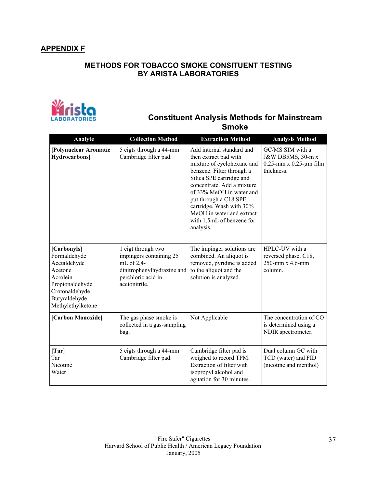# **APPENDIX F**

# **METHODS FOR TOBACCO SMOKE CONSITUENT TESTING BY ARISTA LABORATORIES**



# **Constituent Analysis Methods for Mainstream Smoke**

| Analyte                                                                                                                                       | <b>Collection Method</b>                                                                                                         | <b>Extraction Method</b>                                                                                                                                                                                                                                                                                                        | <b>Analysis Method</b>                                                              |
|-----------------------------------------------------------------------------------------------------------------------------------------------|----------------------------------------------------------------------------------------------------------------------------------|---------------------------------------------------------------------------------------------------------------------------------------------------------------------------------------------------------------------------------------------------------------------------------------------------------------------------------|-------------------------------------------------------------------------------------|
| [Polynuclear Aromatic<br><b>Hydrocarbons</b> ]                                                                                                | 5 cigts through a 44-mm<br>Cambridge filter pad.                                                                                 | Add internal standard and<br>then extract pad with<br>mixture of cyclohexane and<br>benzene. Filter through a<br>Silica SPE cartridge and<br>concentrate. Add a mixture<br>of 33% MeOH in water and<br>put through a C18 SPE<br>cartridge. Wash with 30%<br>MeOH in water and extract<br>with 1.5mL of benzene for<br>analysis. | GC/MS SIM with a<br>J&W DB5MS, 30-m x<br>$0.25$ -mm x $0.25$ -µm film<br>thickness. |
| [Carbonyls]<br>Formaldehyde<br>Acetaldehyde<br>Acetone<br>Acrolein<br>Propionaldehyde<br>Crotonaldehyde<br>Butyraldehyde<br>Methylethylketone | 1 cigt through two<br>impingers containing 25<br>mL of 2,4-<br>dinitrophenylhydrazine and<br>perchloric acid in<br>acetonitrile. | The impinger solutions are<br>combined. An aliquot is<br>removed, pyridine is added<br>to the aliquot and the<br>solution is analyzed.                                                                                                                                                                                          | HPLC-UV with a<br>reversed phase, C18,<br>250-mm x 4.6-mm<br>column.                |
| [Carbon Monoxide]                                                                                                                             | The gas phase smoke is<br>collected in a gas-sampling<br>bag.                                                                    | Not Applicable                                                                                                                                                                                                                                                                                                                  | The concentration of CO<br>is determined using a<br>NDIR spectrometer.              |
| [Tar]<br>Tar<br>Nicotine<br>Water                                                                                                             | 5 cigts through a 44-mm<br>Cambridge filter pad.                                                                                 | Cambridge filter pad is<br>weighed to record TPM.<br>Extraction of filter with<br>isopropyl alcohol and<br>agitation for 30 minutes.                                                                                                                                                                                            | Dual column GC with<br>TCD (water) and FID<br>(nicotine and menthol)                |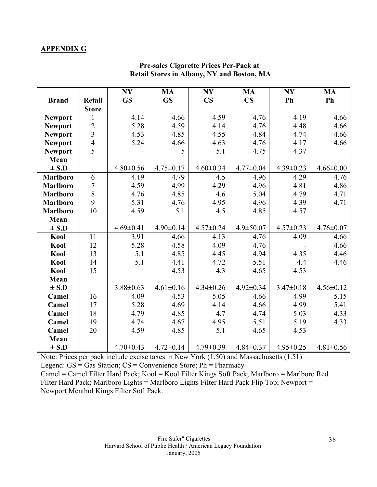## **APPENDIX G**

|                 |                | NY              | <b>MA</b>       | <b>NY</b>       | <b>MA</b>              | <b>NY</b>       | <b>MA</b>       |
|-----------------|----------------|-----------------|-----------------|-----------------|------------------------|-----------------|-----------------|
| <b>Brand</b>    | Retail         | <b>GS</b>       | <b>GS</b>       | $\mathbf{CS}$   | $\mathbf{C}\mathbf{S}$ | Ph              | Ph              |
|                 | <b>Store</b>   |                 |                 |                 |                        |                 |                 |
| <b>Newport</b>  | $\mathbf{1}$   | 4.14            | 4.66            | 4.59            | 4.76                   | 4.19            | 4.66            |
| <b>Newport</b>  | $\overline{c}$ | 5.28            | 4.59            | 4.14            | 4.76                   | 4.48            | 4.66            |
| <b>Newport</b>  | $\overline{3}$ | 4.53            | 4.85            | 4.55            | 4.84                   | 4.74            | 4.66            |
| <b>Newport</b>  | $\overline{4}$ | 5.24            | 4.66            | 4.63            | 4.76                   | 4.17            | 4.66            |
| <b>Newport</b>  | $\overline{5}$ |                 | 5               | 5.1             | 4.75                   | 4.37            |                 |
| Mean            |                |                 |                 |                 |                        |                 |                 |
| $\pm$ S.D       |                | $4.80 \pm 0.56$ | $4.75 \pm 0.17$ | $4.60 \pm 0.34$ | $4.77 \pm 0.04$        | $4.39 \pm 0.23$ | $4.66 \pm 0.00$ |
| <b>Marlboro</b> | 6              | 4.19            | 4.79            | 4.5             | 4.96                   | 4.29            | 4.76            |
| Marlboro        | $\overline{7}$ | 4.59            | 4.99            | 4.29            | 4.96                   | 4.81            | 4.86            |
| <b>Marlboro</b> | 8              | 4.76            | 4.85            | 4.6             | 5.04                   | 4.79            | 4.71            |
| <b>Marlboro</b> | 9              | 5.31            | 4.76            | 4.95            | 4.96                   | 4.39            | 4.71            |
| <b>Marlboro</b> | 10             | 4.59            | 5.1             | 4.5             | 4.85                   | 4.57            |                 |
| Mean            |                |                 |                 |                 |                        |                 |                 |
| $\pm$ S.D       |                | $4.69 \pm 0.41$ | $4.90 \pm 0.14$ | $4.57 \pm 0.24$ | $4.9 \pm 50.07$        | $4.57 \pm 0.23$ | $4.76 \pm 0.07$ |
| Kool            | 11             | 3.91            | 4.66            | 4.13            | 4.76                   | 4.09            | 4.66            |
| Kool            | 12             | 5.28            | 4.58            | 4.09            | 4.76                   |                 | 4.66            |
| Kool            | 13             | 5.1             | 4.85            | 4.45            | 4.94                   | 4.35            | 4.46            |
| Kool            | 14             | 5.1             | 4.41            | 4.72            | 5.51                   | 4.4             | 4.46            |
| Kool            | 15             |                 | 4.53            | 4.3             | 4.65                   | 4.53            |                 |
| Mean            |                |                 |                 |                 |                        |                 |                 |
| $\pm$ S.D       |                | $3.88 \pm 0.63$ | $4.61 \pm 0.16$ | $4.34 \pm 0.26$ | $4.92 \pm 0.34$        | $3.47 \pm 0.18$ | $4.56 \pm 0.12$ |
| Camel           | 16             | 4.09            | 4.53            | 5.05            | 4.66                   | 4.99            | 5.15            |
| Camel           | 17             | 5.28            | 4.69            | 4.14            | 4.66                   | 4.99            | 5.41            |
| Camel           | 18             | 4.79            | 4.85            | 4.7             | 4.74                   | 5.03            | 4.33            |
| Camel           | 19             | 4.74            | 4.67            | 4.95            | 5.51                   | 5.19            | 4.33            |
| Camel           | 20             | 4.59            | 4.85            | 5.1             | 4.65                   | 4.53            |                 |
| Mean            |                |                 |                 |                 |                        |                 |                 |
| $\pm$ S.D       |                | $4.70 \pm 0.43$ | $4.72 \pm 0.14$ | $4.79 \pm 0.39$ | $4.84 \pm 0.37$        | $4.95 \pm 0.25$ | $4.81 \pm 0.56$ |

# **Pre-sales Cigarette Prices Per-Pack at Retail Stores in Albany, NY and Boston, MA**

Note: Prices per pack include excise taxes in New York (1.50) and Massachusetts (1.51) Legend: GS = Gas Station; CS = Convenience Store; Ph = Pharmacy

Camel = Camel Filter Hard Pack; Kool = Kool Filter Kings Soft Pack; Marlboro = Marlboro Red Filter Hard Pack; Marlboro Lights = Marlboro Lights Filter Hard Pack Flip Top; Newport = Newport Menthol Kings Filter Soft Pack.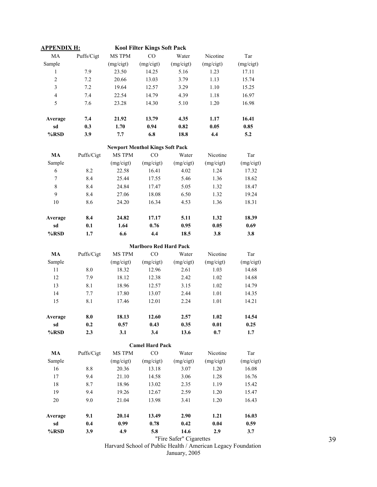| <u>APPENDIX H:</u> |            |               | <b>Kool Filter Kings Soft Pack</b>     |                         |           |           |
|--------------------|------------|---------------|----------------------------------------|-------------------------|-----------|-----------|
| MA                 | Puffs/Cigt | MS TPM        | CO                                     | Water                   | Nicotine  | Tar       |
| Sample             |            | (mg/cigt)     | (mg/cigt)                              | (mg/cigt)               | (mg/cigt) | (mg/cigt) |
| 1                  | 7.9        | 23.50         | 14.25                                  | 5.16                    | 1.23      | 17.11     |
| $\overline{c}$     | 7.2        | 20.66         | 13.03                                  | 3.79                    | 1.13      | 15.74     |
| 3                  | 7.2        | 19.64         | 12.57                                  | 3.29                    | 1.10      | 15.25     |
| $\overline{4}$     | 7.4        | 22.54         | 14.79                                  | 4.39                    | 1.18      | 16.97     |
| 5                  | 7.6        | 23.28         | 14.30                                  | 5.10                    | 1.20      | 16.98     |
| Average            | 7.4        | 21.92         | 13.79                                  | 4.35                    | 1.17      | 16.41     |
| sd                 | 0.3        | 1.70          | 0.94                                   | 0.82                    | 0.05      | 0.85      |
| %RSD               | 3.9        | 7.7           | 6.8                                    | 18.8                    | 4.4       | 5.2       |
|                    |            |               | <b>Newport Menthol Kings Soft Pack</b> |                         |           |           |
| MA                 | Puffs/Cigt | <b>MS TPM</b> | CO                                     | Water                   | Nicotine  | Tar       |
| Sample             |            | (mg/cigt)     | (mg/cigt)                              | (mg/cigt)               | (mg/cigt) | (mg/cigt) |
| 6                  | 8.2        | 22.58         | 16.41                                  | 4.02                    | 1.24      | 17.32     |
| 7                  | 8.4        | 25.44         | 17.55                                  | 5.46                    | 1.36      | 18.62     |
| $\,$ 8 $\,$        | 8.4        | 24.84         | 17.47                                  | 5.05                    | 1.32      | 18.47     |
| 9                  | 8.4        | 27.06         | 18.08                                  | 6.50                    | 1.32      | 19.24     |
| 10                 | 8.6        | 24.20         | 16.34                                  | 4.53                    | 1.36      | 18.31     |
| Average            | 8.4        | 24.82         | 17.17                                  | 5.11                    | 1.32      | 18.39     |
| sd                 | 0.1        | 1.64          | 0.76                                   | 0.95                    | 0.05      | 0.69      |
| %RSD               | 1.7        | 6.6           | 4.4                                    | 18.5                    | 3.8       | 3.8       |
|                    |            |               | <b>Marlboro Red Hard Pack</b>          |                         |           |           |
| MA                 | Puffs/Cigt | MS TPM        | CO                                     | Water                   | Nicotine  | Tar       |
| Sample             |            | (mg/cigt)     | (mg/cigt)                              | (mg/cigt)               | (mg/cigt) | (mg/cigt) |
| 11                 | 8.0        | 18.32         | 12.96                                  | 2.61                    | 1.03      | 14.68     |
| 12                 | 7.9        | 18.12         | 12.38                                  | 2.42                    | 1.02      | 14.68     |
| 13                 | 8.1        | 18.96         | 12.57                                  | 3.15                    | 1.02      | 14.79     |
| 14                 | 7.7        | 17.80         | 13.07                                  | 2.44                    | 1.01      | 14.35     |
| 15                 | 8.1        | 17.46         | 12.01                                  | 2.24                    | 1.01      | 14.21     |
| Average            | 8.0        | 18.13         | 12.60                                  | 2.57                    | 1.02      | 14.54     |
| sd                 | 0.2        | 0.57          | 0.43                                   | 0.35                    | 0.01      | 0.25      |
| %RSD               | 2.3        | 3.1           | 3.4                                    | 13.6                    | 0.7       | 1.7       |
|                    |            |               | <b>Camel Hard Pack</b>                 |                         |           |           |
| MA                 | Puffs/Cigt | MS TPM        | CO                                     | Water                   | Nicotine  | Tar       |
| Sample             |            | (mg/cigt)     | (mg/cigt)                              | (mg/cigt)               | (mg/cigt) | (mg/cigt) |
| 16                 | 8.8        | 20.36         | 13.18                                  | 3.07                    | 1.20      | 16.08     |
| 17                 | 9.4        | 21.10         | 14.58                                  | 3.06                    | 1.28      | 16.76     |
| 18                 | 8.7        | 18.96         | 13.02                                  | 2.35                    | 1.19      | 15.42     |
| 19                 | 9.4        | 19.26         | 12.67                                  | 2.59                    | 1.20      | 15.47     |
| 20                 | 9.0        | 21.04         | 13.98                                  | 3.41                    | 1.20      | 16.43     |
| Average            | 9.1        | 20.14         | 13.49                                  | 2.90                    | 1.21      | 16.03     |
| sd                 | 0.4        | 0.99          | 0.78                                   | 0.42                    | 0.04      | 0.59      |
| %RSD               | 3.9        | 4.9           | 5.8                                    | 14.6                    | 2.9       | 3.7       |
|                    |            |               |                                        | "Fire Safer" Cigarettes |           |           |

Harvard School of Public Health / American Legacy Foundation January, 2005